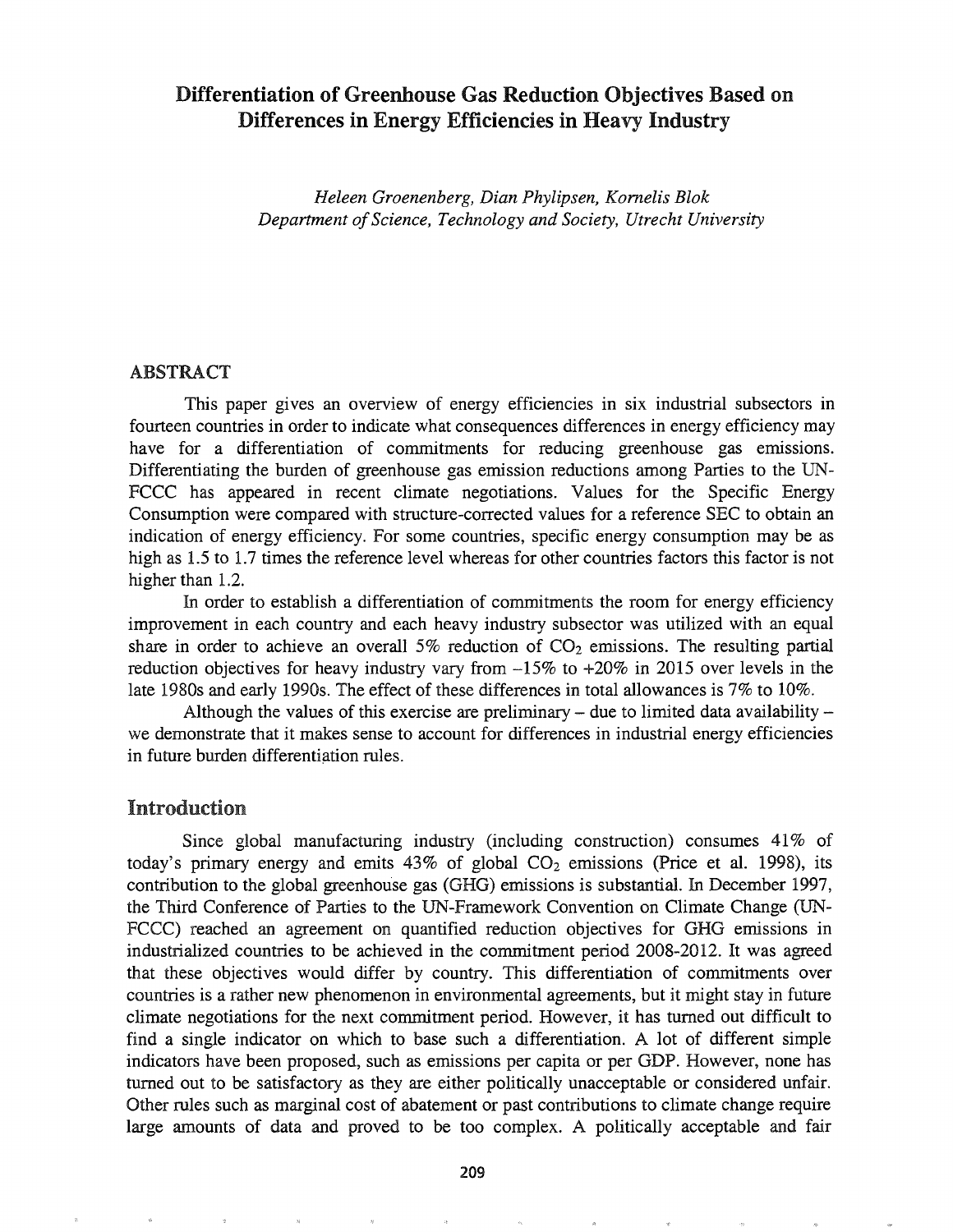# Differentiation of Greenhouse Gas Reduction Objectives Based on Differences in Energy Efficiencies in Heavy Industry

*Heleen Groenenberg, Dian Phylipsen, Komelis Blok Department ofScience, Technology and Society, Utrecht University*

### ABSTRACT

This paper gives an overview of energy efficiencies in six industrial subsectors in fourteen countries in order to indicate what consequences differences in energy efficiency may have for a differentiation of commitments for reducing greenhouse gas emissions. Differentiating the burden of greenhouse gas emission reductions among Parties to the UN-FCCC has appeared in recent climate negotiations. Values for the Specific Energy Consumption were compared with structure-corrected values for a reference SEC to obtain an indication of energy efficiency. For some countries, specific energy consumption may be as high as 1.5 to 1.7 times the reference level whereas for other countries factors this factor is not higher than 1.2.

In order to establish a differentiation of commitments the room for energy efficiency improvement in each country and each heavy industry subsector was utilized with an equal share in order to achieve an overall 5% reduction of  $CO<sub>2</sub>$  emissions. The resulting partial reduction objectives for heavy industry vary from -15% to +20% in 2015 over levels in the late 1980s and early 1990s. The effect of these differences in total allowances is 7% to 10%.

Although the values of this exercise are preliminary  $-$  due to limited data availability  $$ we demonstrate that it makes sense to account for differences in industrial energy efficiencies in future burden differentiation rules.

# Introduction

Since global manufacturing industry (including construction) consumes 41% of today's primary energy and emits  $43\%$  of global  $CO<sub>2</sub>$  emissions (Price et al. 1998), its contribution to the global greenhouse gas (GHG) emissions is substantial. In December 1997, the Third Conference of Parties to the UN-Framework Convention on Climate Change (UN-FCCC) reached an agreement on quantified reduction objectives for GHG emissions in industrialized countries to be achieved in the commitment period 2008-2012. It was agreed that these objectives would differ by country. This differentiation of commitments over countries is a rather new phenomenon in environmental agreements, but it might stay in future climate negotiations for the next commitment period. However, it has turned out difficult to find a single indicator on which to base such a differentiation. A lot of different simple indicators have been proposed, such as emissions per capita or per GDP. However, none has turned out to be satisfactory as they are either politically unacceptable or considered unfair. Other rules such as marginal cost of abatement or past contributions to climate change require large amounts of data and proved to be too complex. A politically acceptable and fair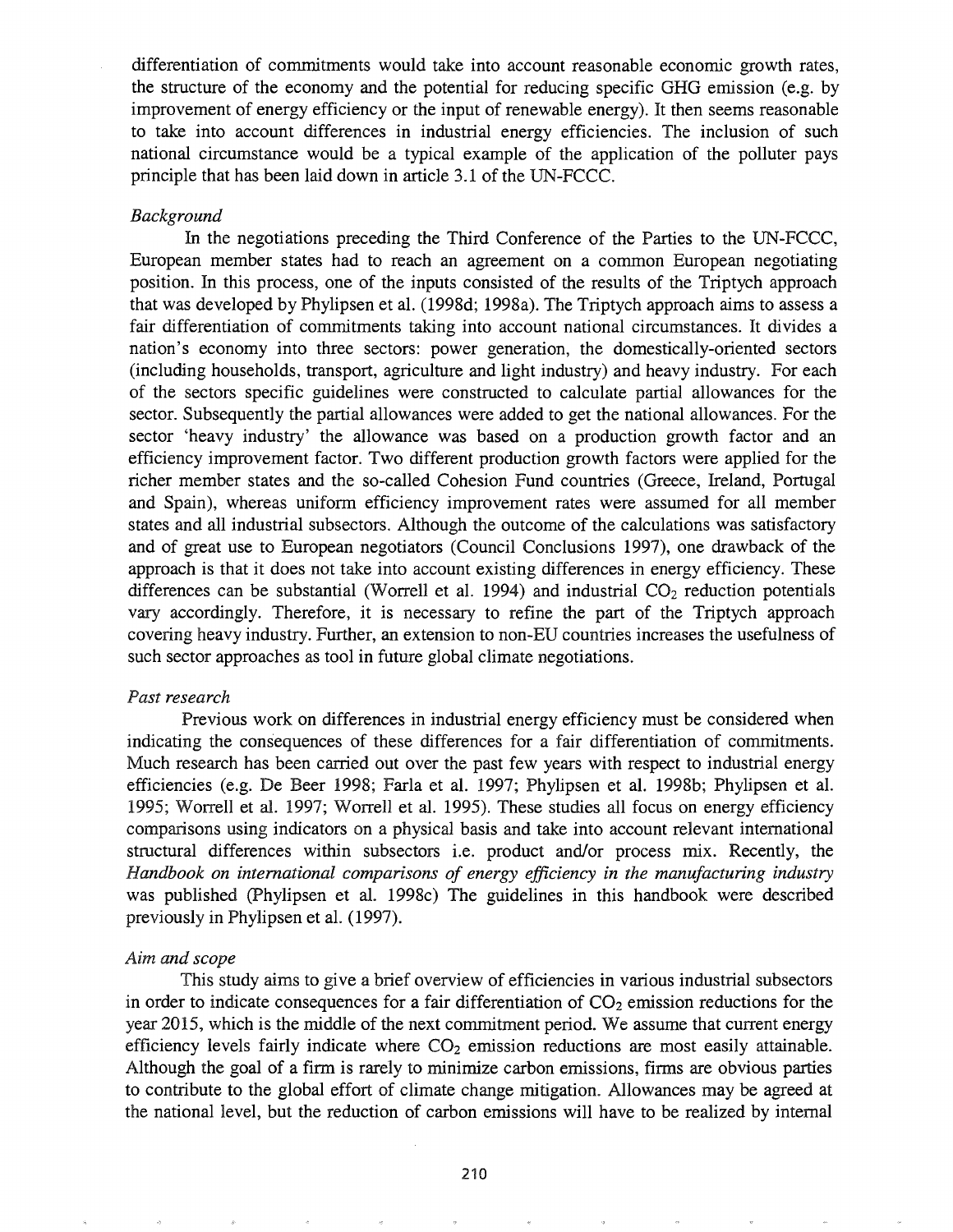differentiation of commitments would take into account reasonable economic growth rates, the structure of the economy and the potential for reducing specific GHG emission (e.g. by improvement of energy efficiency or the input of renewable energy). It then seems reasonable to take into account differences in industrial energy efficiencies. The inclusion of such national circumstance would be a typical example of the application of the polluter pays principle that has been laid down in article 3.1 of the UN-FCCC.

### *Background*

In the negotiations preceding the Third Conference of the Parties to the UN-FCCC, European member states had to reach an agreement on a common European negotiating position. In this process, one of the inputs consisted of the results of the Triptych approach that was developed by Phylipsen et al. (1998d; 1998a). The Triptych approach aims to assess a fair differentiation of commitments taking into account national circumstances. It divides a nation's economy into three sectors: power generation, the domestically-oriented sectors (including households, transport, agriculture and light industry) and heavy industry. For each of the sectors specific guidelines were constructed to calculate partial allowances for the sector. Subsequently the partial allowances were added to get the national allowances. For the sector 'heavy industry' the allowance was based on a production growth factor and an efficiency improvement factor. Two different production growth factors were applied for the richer member states and the so-called Cohesion Fund countries (Greece, Ireland, Portugal and Spain), whereas unifonn efficiency improvement rates were assumed for all member states and all industrial subsectors. Although the outcome of the calculations was satisfactory and of great use to European negotiators (Council Conclusions 1997), one drawback of the approach is that it does not take into account existing differences in energy efficiency. These differences can be substantial (Worrell et al. 1994) and industrial  $CO<sub>2</sub>$  reduction potentials vary accordingly. Therefore, it is necessary to refine the part of the Triptych approach covering heavy industry. Further, an extension to non-ED countries increases the usefulness of such sector approaches as tool in future global climate negotiations.

#### *Past research*

Previous work on differences in industrial energy efficiency must be considered when indicating the consequences of these differences for a fair differentiation of commitments. Much research has been carried out over the past few years with respect to industrial energy efficiencies (e.g. De Beer 1998; Farla et al. 1997; Phylipsen et al. 1998b; Phylipsen et al. 1995; Worrell et al. 1997; Worrell et al. 1995). These studies all focus on energy efficiency comparisons using indicators on a physical basis and take into account relevant international structural differences within subsectors i.e. product and/or process mix. Recently, the *Handbook on international comparisons of energy efficiency in the manufacturing industry* was published (Phylipsen et al. 1998c) The guidelines in this handbook were described previously in Phylipsen et al. (1997).

## *Aim and scope*

This study aims to give a brief overview of efficiencies in various industrial subsectors in order to indicate consequences for a fair differentiation of  $CO<sub>2</sub>$  emission reductions for the year 2015, which is the middle of the next commitment period. We assume that current energy efficiency levels fairly indicate where  $CO<sub>2</sub>$  emission reductions are most easily attainable. Although the goal of a firm is rarely to minimize carbon emissions, firms are obvious parties to contribute to the global effort of climate change mitigation. Allowances may be agreed at the national level, but the reduction of carbon emissions will have to be realized by internal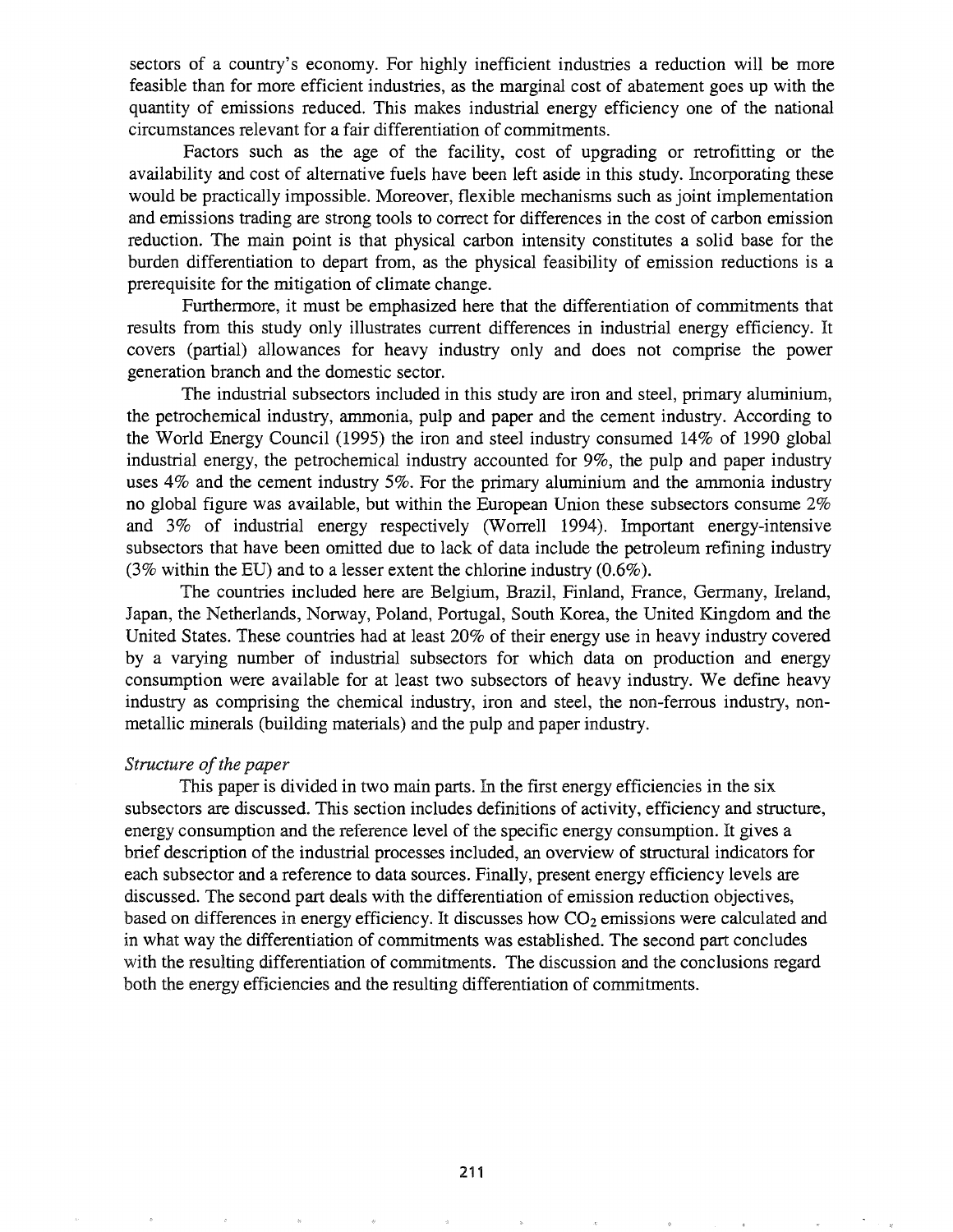sectors of a country's economy. For highly inefficient industries a reduction will be more feasible than for more efficient industries, as the marginal cost of abatement goes up with the quantity of emissions reduced. This makes industrial energy efficiency one of the national circumstances relevant for a fair differentiation of commitments.

Factors such as the age of the facility, cost of upgrading or retrofitting or the availability and cost of alternative fuels have been left aside in this study. Incorporating these would be practically impossible. Moreover, flexible mechanisms such as joint implementation and emissions trading are strong tools to correct for differences in the cost of carbon emission reduction. The main point is that physical carbon intensity constitutes a solid base for the burden differentiation to depart from, as the physical feasibility of emission reductions is a prerequisite for the mitigation of climate change.

Furthermore, it must be emphasized here that the differentiation of commitments that results from this study only illustrates current differences in industrial energy efficiency. It covers (partial) allowances for heavy industry only and does not comprise the power generation branch and the domestic sector.

The industrial subsectors included in this study are iron and steel, primary aluminium, the petrochemical industry, ammonia, pulp and paper and the cement industry. According to the World Energy Council (1995) the iron and steel industry consumed 14% of 1990 global industrial energy, the petrochemical industry accounted for 9%, the pulp and paper industry uses 4% and the cement industry 5%. For the primary aluminium and the ammonia industry no global figure was available, but within the European Union these subsectors consume 2% and 3% of industrial energy respectively (Worrell 1994). Important energy-intensive subsectors that have been omitted due to lack of data include the petroleum refining industry (3% within the ED) and to a lesser extent the chlorine industry (0.6%).

The countries included here are Belgium, Brazil, Finland, France, Gennany, Ireland, Japan, the Netherlands, Norway, Poland, Portugal, South Korea, the United Kingdom and the United States. These countries had at least 20% of their energy use in heavy industry covered by a varying number of industrial subsectors for which data on production and energy consumption were available for at least two subsectors of heavy industry. We define heavy industry as comprising the chemical industry, iron and steel, the non-ferrous industry, nonmetallic minerals (building materials) and the pulp and paper industry.

## *Structure of the paper*

This paper is divided in two main parts. In the first energy efficiencies in the six subsectors are discussed. This section includes definitions of activity, efficiency and structure, energy consumption and the reference level of the specific energy consumption. It gives a brief description of the industrial processes included, an overview of structural indicators for each subsector and a reference to data sources. Finally, present energy efficiency levels are discussed. The second part deals with the differentiation of emission reduction objectives, based on differences in energy efficiency. It discusses how  $CO<sub>2</sub>$  emissions were calculated and in what way the differentiation of commitments was established. The second part concludes with the resulting differentiation of commitments. The discussion and the conclusions regard both the energy efficiencies and the resulting differentiation of commitments.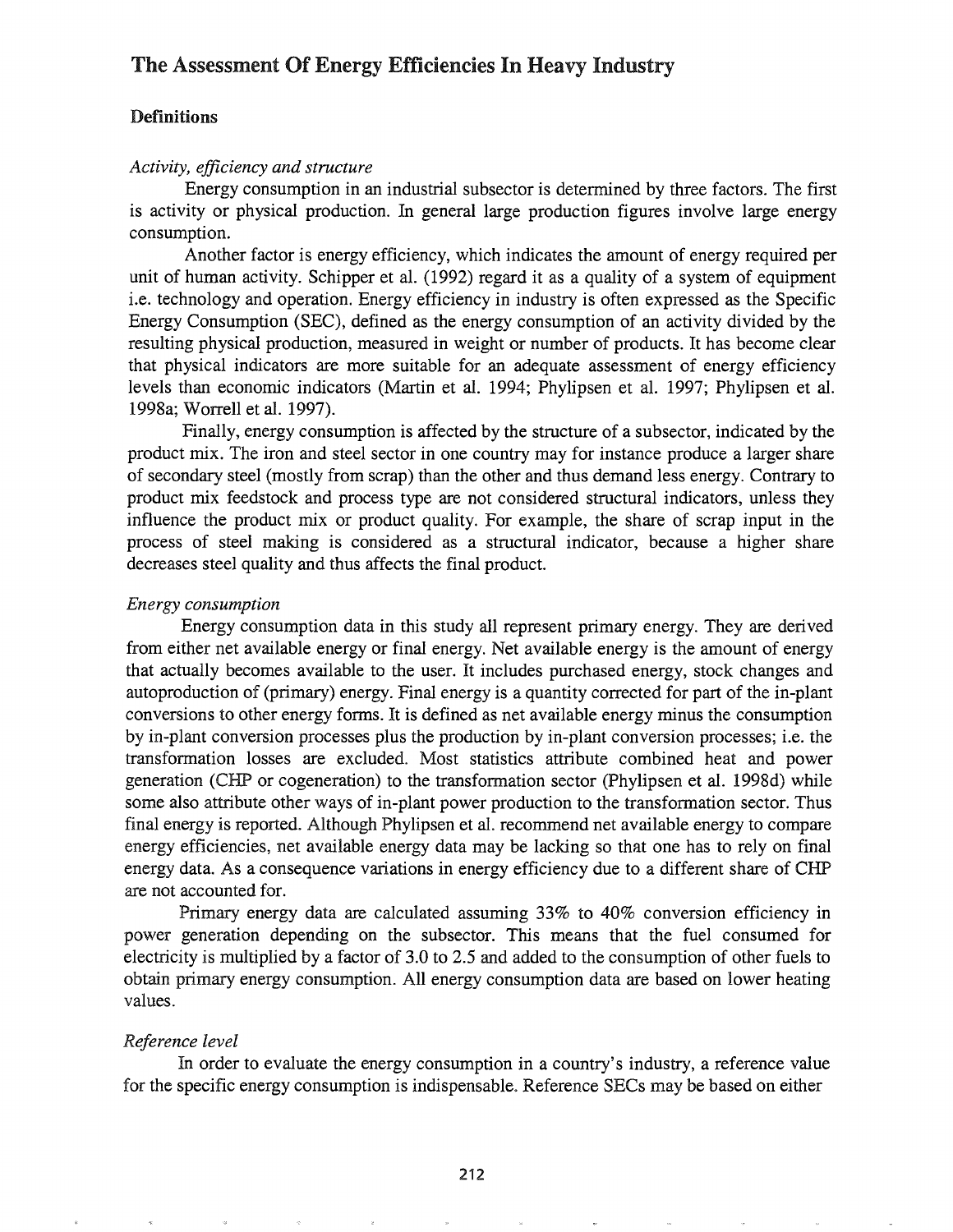# The Assessment Of Energy Efficiencies In Heavy Industry

# Definitions

#### *Activity, efficiency and structure*

Energy consumption in an industrial subsector is determined by three factors. The first is activity or physical production. In general large production figures involve large energy consumption.

Another factor is energy efficiency, which indicates the amount of energy required per unit of human activity. Schipper et al. (1992) regard it as a quality of a system of equipment i.e. technology and operation. Energy efficiency in industry is often expressed as the Specific Energy Consumption (SEC), defined as the energy consumption of an activity divided by the resulting physical production, measured in weight or number of products. It has become clear that physical indicators are more suitable for an adequate assessment of energy efficiency levels than economic indicators (Martin et al. 1994; Phylipsen et al. 1997; Phylipsen et al. 1998a; Worrell et al. 1997).

Finally, energy consumption is affected by the structure of a subsector, indicated by the product mix. The iron and steel sector in one country may for instance produce a larger share of secondary steel (mostly from scrap) than the other and thus demand less energy. Contrary to product mix feedstock and process type are not considered structural indicators, unless they influence the product mix or product quality. For example, the share of scrap input in the process of steel making is considered as a structural indicator, because a higher share decreases steel quality and thus affects the final product.

#### *Energy consumption*

Energy consumption data in this study all represent primary energy. They are derived from either net available energy or final energy. Net available energy is the amount of energy that actually becomes available to the user. It includes purchased energy, stock changes and autoproduction of (primary) energy. Final energy is a quantity corrected for part of the in-plant conversions to other energy forms. It is defined as net available energy minus the consumption by in-plant conversion processes plus the production by in-plant conversion processes; i.e. the transformation losses are excluded. Most statistics attribute combined heat and power generation (CHP or cogeneration) to the transformation sector (Phylipsen et al. 1998d) while some also attribute other ways of in-plant power production to the transformation sector. Thus final energy is reported. Although Phylipsen et al. recommend net available energy to compare energy efficiencies, net available energy data may be lacking so that one has to rely on final energy data. As a consequence variations in energy efficiency due to a different share of CHP are not accounted for.

Primary energy data are calculated assuming 33% to 40% conversion efficiency in power generation depending on the subsector. This means that the fuel consumed for electricity is multiplied by a factor of 3.0 to 2.5 and added to the consumption of other fuels to obtain primary energy consumption. All energy consumption data are based on lower heating values.

#### *Reference level*

In order to evaluate the energy consumption in a country's industry, a reference value for the specific energy consumption is indispensable. Reference SECs may be based on either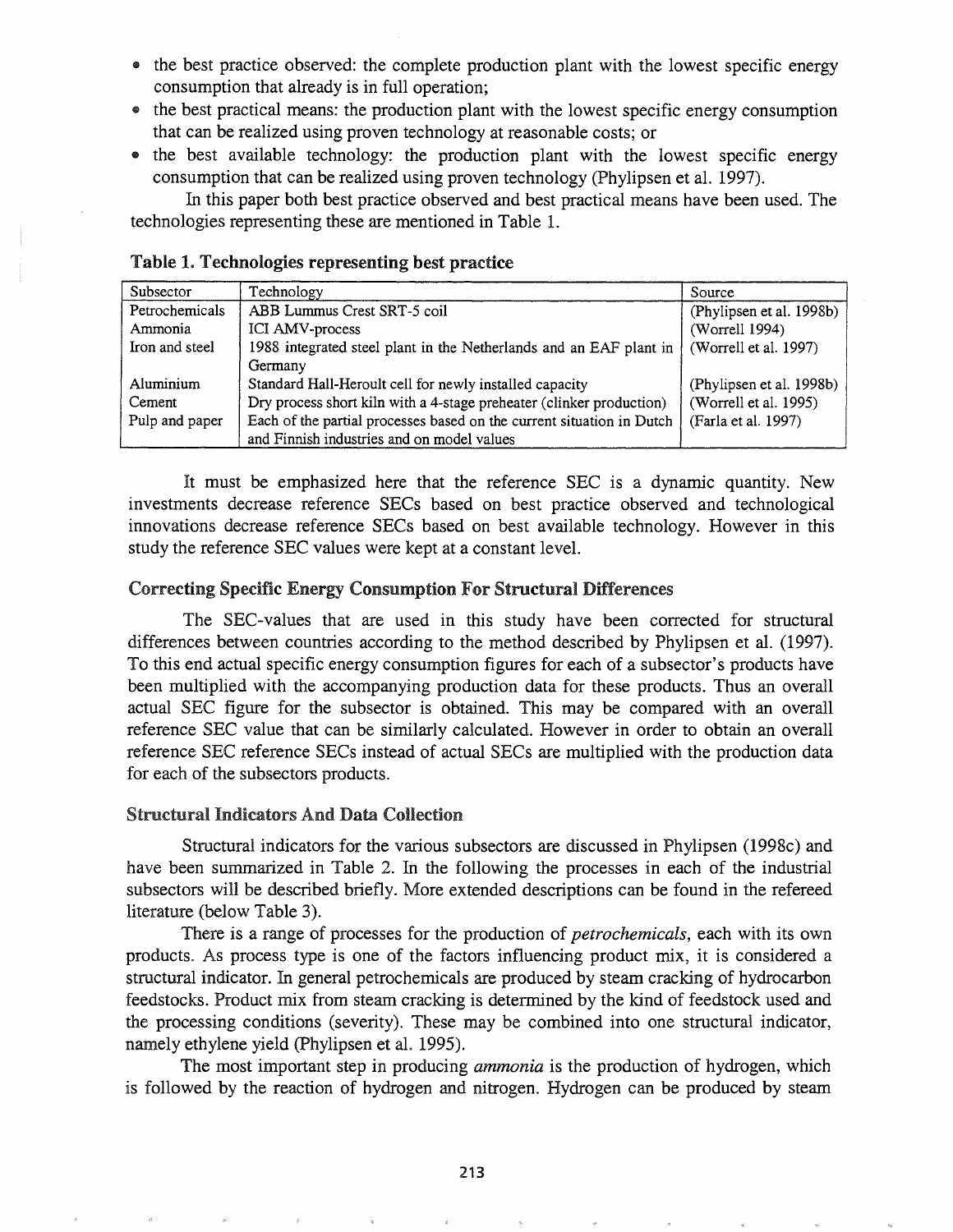- the best practice observed: the complete production plant with the lowest specific energy consumption that already is in full operation;
- the best practical means: the production plant with the lowest specific energy consumption that can be realized using proven technology at reasonable costs; or
- the best available technology: the production plant with the lowest specific energy consumption that can be realized using proven technology (Phylipsen et al. 1997).

In this paper both best practice observed and best practical means have been used. The technologies representing these are mentioned in Table 1.

| Subsector      | Technology                                                            | Source                   |
|----------------|-----------------------------------------------------------------------|--------------------------|
| Petrochemicals | ABB Lummus Crest SRT-5 coil                                           | (Phylipsen et al. 1998b) |
| Ammonia        | ICI AMV-process                                                       | (Worrell 1994)           |
| Iron and steel | 1988 integrated steel plant in the Netherlands and an EAF plant in    | (Worrell et al. 1997)    |
|                | Germany                                                               |                          |
| Aluminium      | Standard Hall-Heroult cell for newly installed capacity               | (Phylipsen et al. 1998b) |
| Cement         | Dry process short kiln with a 4-stage preheater (clinker production)  | (Worrell et al. 1995)    |
| Pulp and paper | Each of the partial processes based on the current situation in Dutch | (Farla et al. 1997)      |
|                | and Finnish industries and on model values                            |                          |

# Table 1. Technologies representing best practice

It must be emphasized here that the reference SEC is a dynamic quantity. New investments decrease reference SECs based on best practice observed and technological innovations decrease reference SECs based on best available technology. However in this study the reference SEC values were kept at a constant level.

# Correcting Specific Energy Consumption For Structural Differences

The SEC-values that are used in this study have been corrected for structural differences between countries according to the method described by Phylipsen et al. (1997). To this end actual specific energy consumption figures for each of a subsector's products have been multiplied with the accompanying production data for these products. Thus an overall actual SEC figure for the subsector is obtained. This may be compared with an overall reference SEC value that can be similarly calculated. However in order to obtain an overall reference SEC reference SECs instead of actual SECs are multiplied with the production data for each of the subsectors products.

## Structural Indicators And Data Collection

Structural indicators for the various subsectors are discussed in Phylipsen (1998c) and have been summarized in Table 2. In the following the processes in each of the industrial subsectors will be described briefly. More extended descriptions can be found in the refereed literature (below Table 3).

There is a range of processes for the production of *petrochemicals,* each with its own products. As process type is one of the factors influencing product mix, it is considered a structural indicator. In general petrochemicals are produced by steam cracking of hydrocarbon feedstocks. Product mix from steam cracking is determined by the kind of feedstock used and the processing conditions (severity). These may be combined into one structural indicator, namely ethylene yield (Phylipsen et al. 1995).

The most important step in producing *ammonia* is the production of hydrogen, which is followed by the reaction of hydrogen and nitrogen. Hydrogen can be produced by steam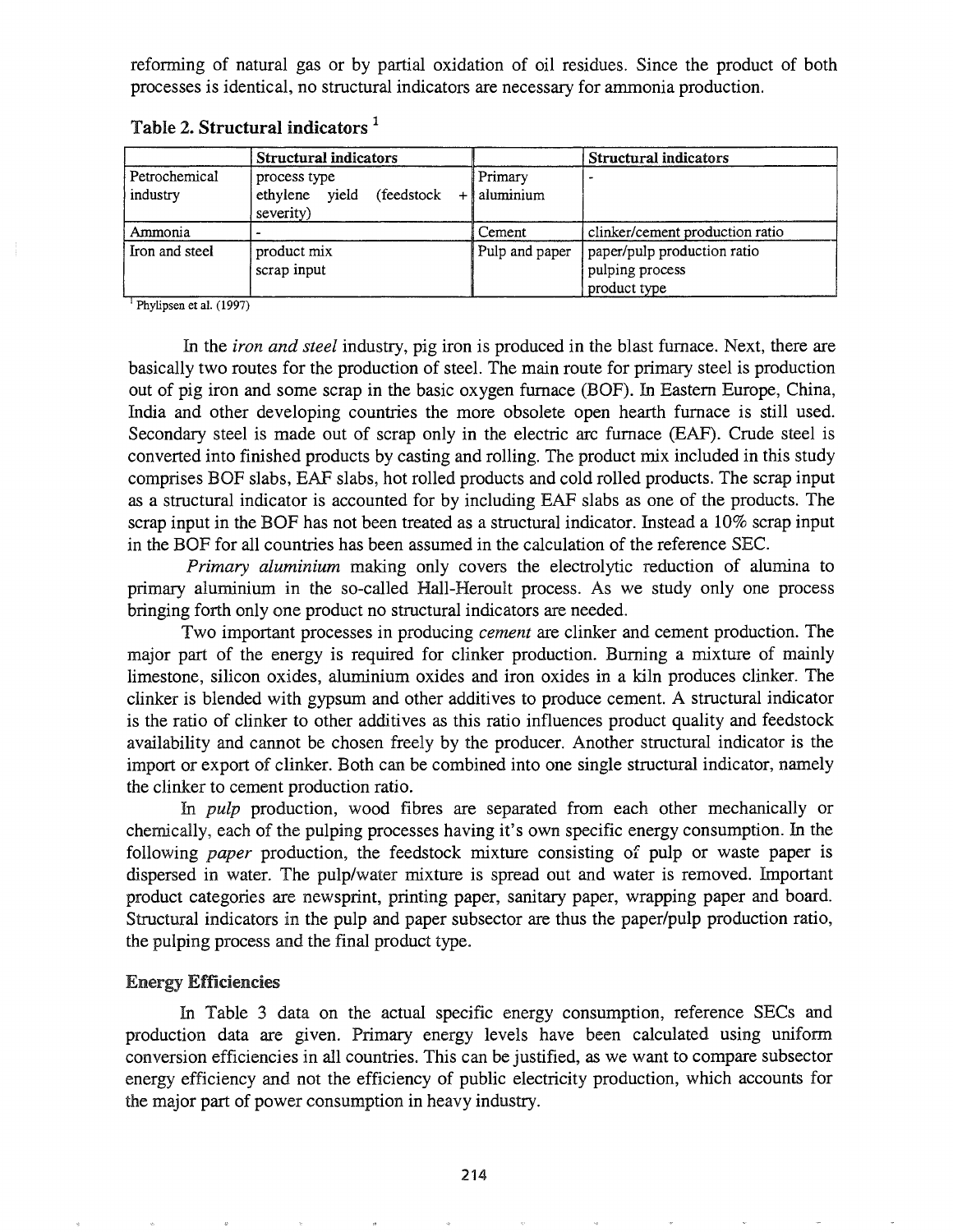reforming of natural gas or by partial oxidation of oil residues. Since the product of both processes is identical, no structural indicators are necessary for ammonia production.

|                           | <b>Structural indicators</b>                                  |                      | Structural indicators                                          |
|---------------------------|---------------------------------------------------------------|----------------------|----------------------------------------------------------------|
| Petrochemical<br>industry | process type<br>yield<br>ethylene<br>(feedstock)<br>severity) | Primary<br>aluminium |                                                                |
| Ammonia                   |                                                               | Cement               | clinker/cement production ratio                                |
| Iron and steel            | product mix<br>scrap input                                    | Pulp and paper       | paper/pulp production ratio<br>pulping process<br>product type |

Table 2. Structural indicators  $<sup>1</sup>$ </sup>

<sup>1</sup> Phylipsen et al. (1997)

In the *iron* and *steel* industry, pig iron is produced in the blast furnace. Next, there are basically two routes for the production of steel. The main route for primary steel is production out of pig iron and some scrap in the basic oxygen furnace (BOF). In Eastern Europe, China, India and other developing countries the more obsolete open hearth furnace is still used. Secondary steel is made out of scrap only in the electric arc furnace (EAF). Crude steel is converted into finished products by casting and rolling. The product mix included in this study comprises BOF slabs, EAF slabs, hot rolled products and cold rolled products. The scrap input as a structural indicator is accounted for by including EAF slabs as one of the products. The scrap input in the BOF has not been treated as a structural indicator. Instead a 10% scrap input in the BOF for all countries has been assumed in the calculation of the reference SEC.

*Primary aluminium* making only covers the electrolytic reduction of alumina to primary aluminium in the so-called Hall-Heroult process. As we study only one process bringing forth only one product no structural indicators are needed.

Two important processes in producing *cement* are clinker and cement production. The major part of the energy is required for clinker production. Burning a mixture of mainly limestone, silicon oxides, aluminium oxides and iron oxides in a kiln produces clinker. The clinker is blended with gypsum and other additives to produce cement A structural indicator is the ratio of clinker to other additives as this ratio influences product quality and feedstock availability and cannot be chosen freely by the producer. Another structural indicator is the import or export of clinker. Both can be combined into one single structural indicator, namely the clinker to cement production ratio.

In *pulp* production, wood fibres are separated from each other mechanically or chemically, each of the pulping processes having it's own specific energy consumption. In the following *paper* production, the feedstock mixture consisting of pulp or waste paper is dispersed in water. The pulp/water mixture is spread out and water is removed. Important product categories are newsprint, printing paper, sanitary paper, wrapping paper and board. Structural indicators in the pulp and paper subsector are thus the paper/pulp production ratio, the pulping process and the final product type.

## Energy Efficiencies

In Table 3 data on the actual specific energy consumption, reference SECs and production data are given. Primary energy levels have been calculated using uniform conversion efficiencies in all countries. This can be justified, as we want to compare subsector energy efficiency and not the efficiency of public electricity production, which accounts for the major part of power consumption in heavy industry.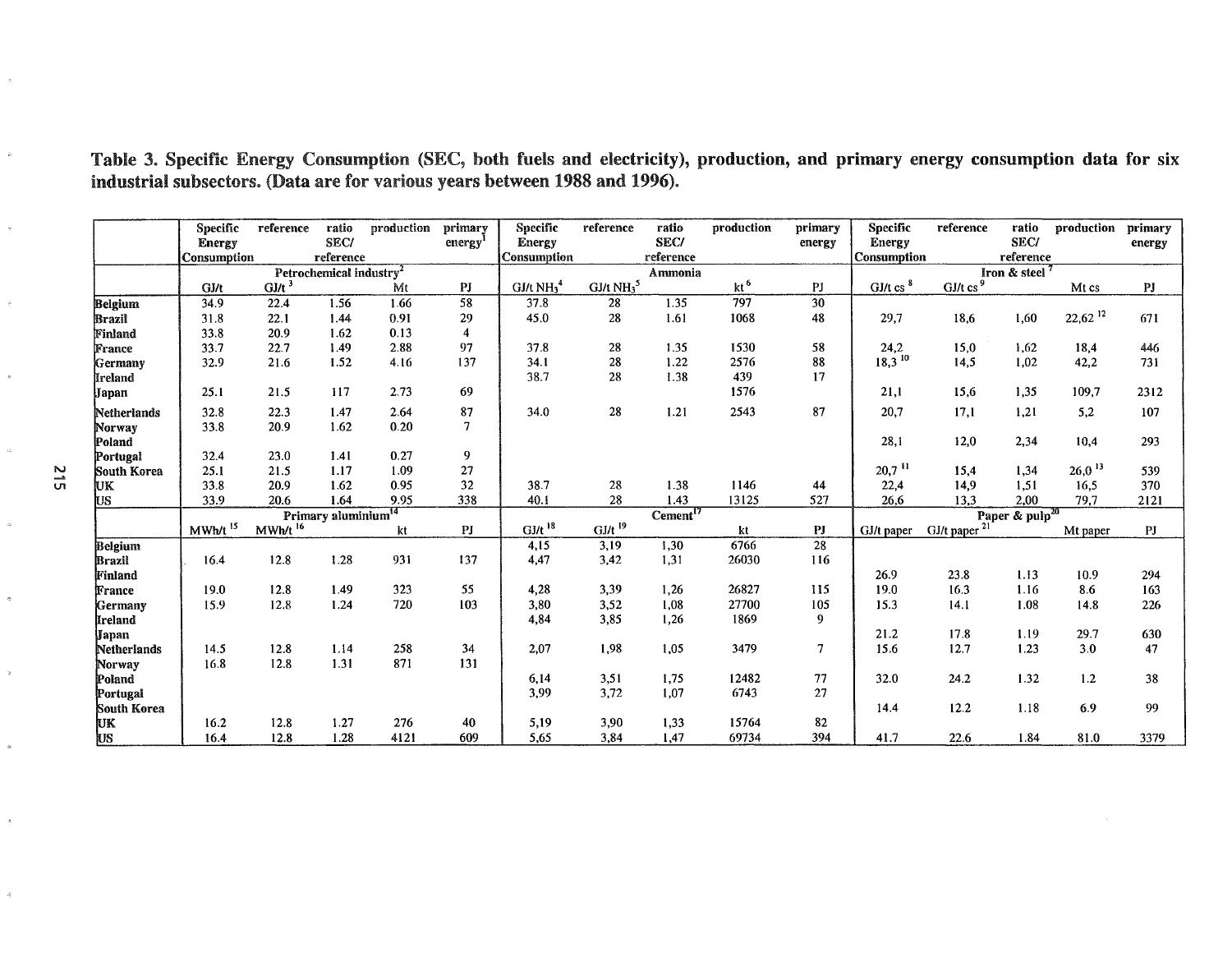|  | Table 3. Specific Energy Consumption (SEC, both fuels and electricity), production, and primary energy consumption data for six |  |  |  |  |  |  |
|--|---------------------------------------------------------------------------------------------------------------------------------|--|--|--|--|--|--|
|  | industrial subsectors. (Data are for various years between 1988 and 1996).                                                      |  |  |  |  |  |  |

|                  | <b>Specific</b>    | reference           | ratio                               | production | primary        | <b>Specific</b>      | reference            | ratio                | production      | primary         | <b>Specific</b>        | reference                | ratio               | production            | primary        |
|------------------|--------------------|---------------------|-------------------------------------|------------|----------------|----------------------|----------------------|----------------------|-----------------|-----------------|------------------------|--------------------------|---------------------|-----------------------|----------------|
|                  | <b>Energy</b>      |                     | <b>SEC/</b>                         |            | energy         | <b>Energy</b>        |                      | <b>SEC/</b>          |                 | energy          | <b>Energy</b>          |                          | SEC/                |                       | energy         |
|                  | <b>Consumption</b> |                     | reference                           |            |                | Consumption          |                      | reference            |                 |                 | <b>Consumption</b>     |                          | reference           |                       |                |
|                  |                    |                     | Petrochemical industry <sup>2</sup> |            |                |                      |                      | Ammonia              |                 |                 |                        |                          | Iron & steel        |                       |                |
|                  | GJ/t               | $GI/t^3$            |                                     | Mt         | PJ             | GJ/t $NH34$          | GJ/t $NH35$          |                      | kt <sup>6</sup> | PJ              | $GJ/t$ cs <sup>8</sup> | GJ/ $t$ cs <sup>9</sup>  |                     | Mt cs                 | P <sub>J</sub> |
| <b>Belgium</b>   | 34.9               | 22.4                | 1.56                                | 1.66       | 58             | 37.8                 | 28                   | 1.35                 | 797             | $\overline{30}$ |                        |                          |                     |                       |                |
| Brazil           | 31.8               | 22.1                | 1.44                                | 0.91       | 29             | 45.0                 | 28                   | 1.61                 | 1068            | 48              | 29,7                   | 18,6                     | 1,60                | $22,62$ <sup>12</sup> | 671            |
| Finland          | 33.8               | 20.9                | 1.62                                | 0.13       | $\overline{4}$ |                      |                      |                      |                 |                 |                        |                          |                     |                       |                |
| France           | 33.7               | 22.7                | 1.49                                | 2.88       | 97             | 37.8                 | 28                   | 1.35                 | 1530            | 58              | 24,2                   | 15,0                     | 1,62                | 18,4                  | 446            |
| Germany          | 32.9               | 21.6                | 1.52                                | 4.16       | 137            | 34.1                 | 28                   | 1.22                 | 2576            | 88              | $18,3^{10}$            | 14,5                     | 1,02                | 42,2                  | 731            |
| lIreland         |                    |                     |                                     |            |                | 38.7                 | 28                   | 1.38                 | 439             | 17              |                        |                          |                     |                       |                |
| Japan            | 25.1               | 21.5                | 117                                 | 2.73       | 69             |                      |                      |                      | 1576            |                 | 21,1                   | 15,6                     | 1,35                | 109,7                 | 2312           |
| Netherlands      | 32.8               | 22.3                | 1.47                                | 2.64       | 87             | 34.0                 | 28                   | $1.21$               | 2543            | 87              | 20,7                   | 17,1                     | 1,21                | 5,2                   | 107            |
| Norway<br>Poland | 33.8               | 20.9                | 1.62                                | 0.20       | $\overline{7}$ |                      |                      |                      |                 |                 | 28,1                   | 12,0                     | 2,34                | 10,4                  | 293            |
| Portugal         | 32.4               | 23.0                | 1.41                                | 0.27       | 9              |                      |                      |                      |                 |                 |                        |                          |                     |                       |                |
| South Korea      | 25.1               | 21.5                | 1.17                                | 1.09       | 27             |                      |                      |                      |                 |                 | $20,7$ <sup>11</sup>   | 15.4                     | 1,34                | $26,0$ <sup>13</sup>  | 539            |
| Įик              | 33.8               | 20.9                | 1.62                                | 0.95       | 32             | 38.7                 | 28                   | 1.38                 | 1146            | 44              | 22,4                   | 14,9                     | 1,51                | 16,5                  | 370            |
| Įиs              | 33.9               | 20.6                | 1.64                                | 9.95       | 338            | 40.1                 | 28                   | 1.43                 | 13125           | 527             | 26,6                   | 13,3                     | 2,00                | 79,7                  | 2121           |
|                  |                    |                     | Primary aluminium <sup>14</sup>     |            |                |                      |                      | Cement <sup>17</sup> |                 |                 |                        |                          | Paper & $pulp^{20}$ |                       |                |
|                  | MWh/t              | MWh/t <sup>16</sup> |                                     | kt         | PI             | $GJ/t$ <sup>18</sup> | $GI/t$ <sup>19</sup> |                      | kt              | PJ              | GJ/t paper             | GJ/t paper <sup>21</sup> |                     | Mt paper              | PJ             |
| <b>Belgium</b>   |                    |                     |                                     |            |                | 4,15                 | 3,19                 | 1,30                 | 6766            | 28              |                        |                          |                     |                       |                |
| <b>Brazil</b>    | 16.4               | 12.8                | 1.28                                | 931        | 137            | 4,47                 | 3,42                 | 1,31                 | 26030           | 116             |                        |                          |                     |                       |                |
| Finland          |                    |                     |                                     |            |                |                      |                      |                      |                 |                 | 26.9                   | 23.8                     | 1.13                | 10.9                  | 294            |
| France           | 19.0               | 12.8                | 1.49                                | 323        | 55             | 4,28                 | 3,39                 | 1,26                 | 26827           | 115             | 19.0                   | 16.3                     | 1.16                | 8.6                   | 163            |
| Germany          | 15.9               | 12.8                | 1.24                                | 720        | 103            | 3,80                 | 3.52                 | 1,08                 | 27700           | 105             | 15.3                   | 14.1                     | 1.08                | 14.8                  | 226            |
| <b>Ireland</b>   |                    |                     |                                     |            |                | 4,84                 | 3,85                 | 1,26                 | 1869            | 9               |                        |                          |                     |                       |                |
| Japan            |                    |                     |                                     |            |                |                      |                      |                      |                 |                 | 21.2                   | 17.8                     | 1.19                | 29.7                  | 630            |
| Netherlands      | 14.5               | 12.8                | 1.14                                | 258        | 34             | 2,07                 | 1.98                 | 1.05                 | 3479            | 7               | 15.6                   | 12.7                     | 1.23                | 3.0                   | 47             |
| Norway           | 16.8               | 12.8                | 1.31                                | 871        | 131            |                      |                      |                      |                 |                 |                        |                          |                     |                       |                |
| Poland           |                    |                     |                                     |            |                | 6,14                 | 3,51                 | 1,75                 | 12482           | 77              | 32.0                   | 24.2                     | 1.32                | 1.2                   | 38             |
| Portugal         |                    |                     |                                     |            |                | 3,99                 | 3,72                 | 1,07                 | 6743            | 27              |                        |                          |                     |                       |                |
| South Korea      |                    |                     |                                     |            |                |                      |                      |                      |                 |                 | 14.4                   | 12.2                     | 1.18                | 6.9                   | 99             |
| UK               | 16.2               | 12.8                | 1.27                                | 276        | 40             | 5,19                 | 3,90                 | 1,33                 | 15764           | 82              |                        |                          |                     |                       |                |
| US               | 16.4               | 12.8                | 1.28                                | 4121       | 609            | 5,65                 | 3,84                 | 1,47                 | 69734           | 394             | 41.7                   | 22.6                     | 1.84                | 81.0                  | 3379           |

 $\hat{\phi}$ 

 $\tilde{\phi}$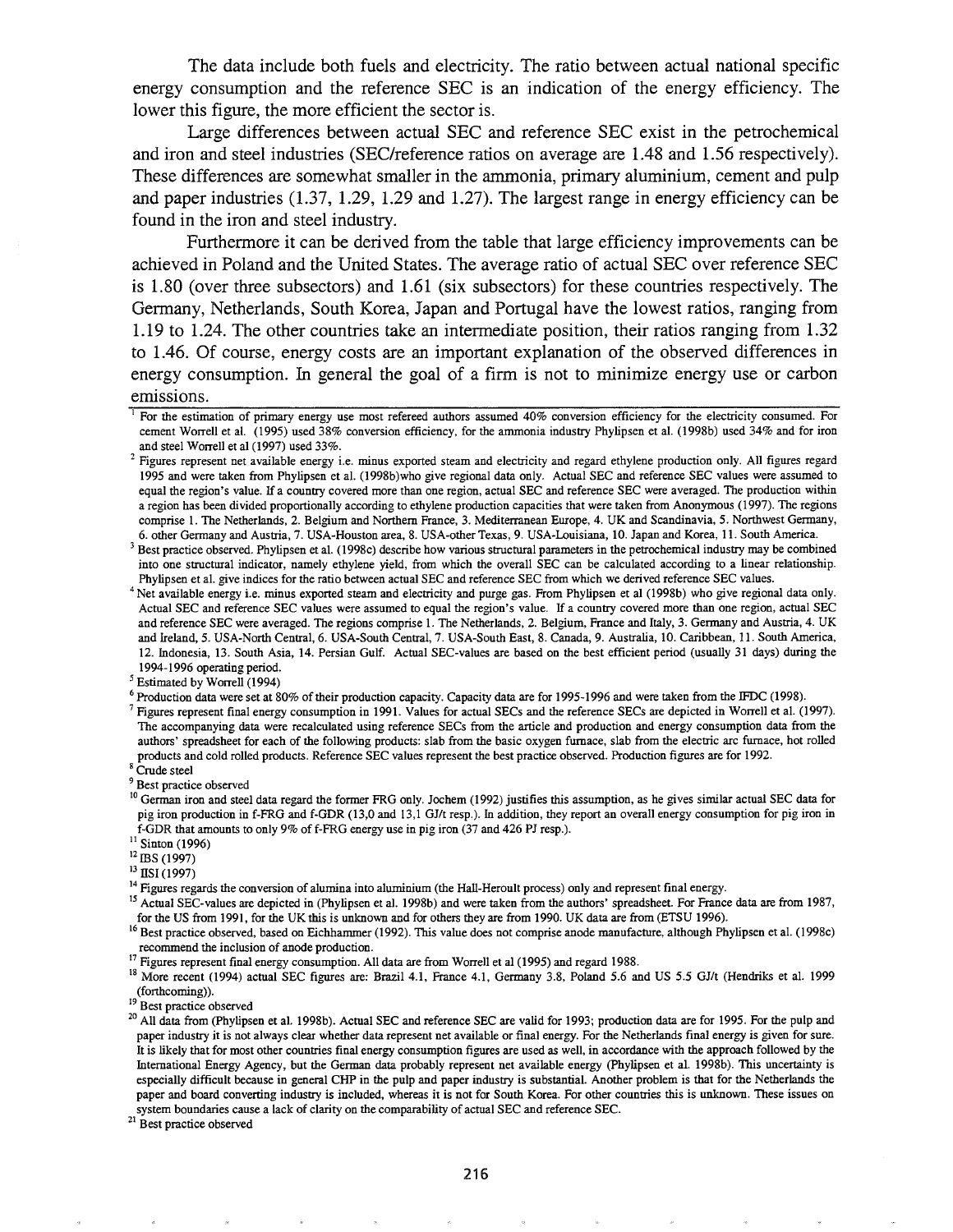The data include both fuels and electricity. The ratio between actual national specific energy consumption and the reference SEC is an indication of the energy efficiency. The lower this figure, the more efficient the sector is.

Large differences between actual SEC and reference SEC exist in the petrochemical and iron and steel industries (SEC/reference ratios on average are 1.48 and 1.56 respectively). These differences are somewhat smaller in the ammonia, primary aluminium, cement and pulp and paper industries (1.37, 1.29, 1.29 and 1.27). The largest range in energy efficiency can be found in the iron and steel industry.

Furthermore it can be derived from the table that large efficiency improvements can be achieved in Poland and the United States. The average ratio of actual SEC over reference SEC is 1.80 (over three subsectors) and 1.61 (six subsectors) for these countries respectively. The Germany, Netherlands, South Korea, Japan and Portugal have the lowest ratios, ranging from 1.19 to 1.24. The other countries take an intermediate position, their ratios ranging from 1.32 to 1.46. Of course, energy costs are an important explanation of the observed differences in energy consumption. In general the goal of a firm is not to minimize energy use or carbon emissions.

8 Crude steel

<sup>9</sup> Best practice observed

<sup>15</sup> Actual SEC-values are depicted in (Phylipsen et al. 1998b) and were taken from the authors' spreadsheet. For France data are from 1987, for the US from 1991, for the UK this is unknown and for others they are from 1990. UK data are from (ETSU 1996).

<sup>16</sup> Best practice observed, based on Eichhammer (1992). This value does not comprise anode manufacture, although Phylipsen et al. (1998c) recommend the inclusion of anode production.

<sup>17</sup> Figures represent final energy consumption. All data are from Worrell et al (1995) and regard 1988.

<sup>18</sup> More recent (1994) actual SEC figures are: Brazil 4.1, France 4.1, Germany 3.8, Poland 5.6 and US 5.5 GJ/t (Hendriks et al. 1999 (forthcoming)).

<sup>19</sup> Best practice observed

<sup>21</sup> Best practice observed

<sup>&</sup>lt;sup>1</sup> For the estimation of primary energy use most refereed authors assumed 40% conversion efficiency for the electricity consumed. For cement Worrell et al. (1995) used 38% conversion efficiency, for the ammonia industry Phylipsen et al. (1998b) used 34% and for iron and steel Worrell et al (1997) used 33%.

<sup>&</sup>lt;sup>2</sup> Figures represent net available energy i.e. minus exported steam and electricity and regard ethylene production only. All figures regard 1995 and were taken from Phylipsen et al. (1998b)who give regional data only. Actual SEC and reference SEC values were assumed to equal the region's value. If a country covered more than one region, actual SEC and reference SEC were averaged. The production within a region has been divided proportionally according to ethylene production capacities that were taken from Anonymous (1997). The regions comprise 1. The Netherlands, 2. Belgium and Northern France, 3. Mediterranean Europe, 4. UK and Scandinavia, 5. Northwest Germany, 6. other Germany and Austria, 7. USA-Houston area, 8. USA-other Texas, 9. USA-Louisiana, 10. Japan and Korea, 11. South America.

<sup>3</sup> Best practice observed. Phylipsen et al. (1998c) describe how various structural parameters in the petrochemical industry may be combined into one structural indicator, namely ethylene Yield, from which the overall SEC can be calculated according to a linear relationship. Phylipsen et al. give indices for the ratio between actual SEC and reference SEC from which we derived reference SEC values.

Net available energy i.e. minus exported steam and electricity and purge gas. From Phylipsen et al (1998b) who give regional data only. Actual SEC and reference SEC values were assumed to equal the region's value. If a country covered more than one region, actual SEC and reference SEC were averaged. The regions comprise 1. The Netherlands, 2. Belgium, France and Italy, 3. Germany and Austria, 4. UK and Ireland, 5. USA-North Central, 6. USA-South Central, 7. USA-South East, 8. Canada, 9. Australia, 10. Caribbean, 11. South America, 12. Indonesia, 13. South Asia, 14. Persian Gulf. Actual SEC-values are based on the best efficient period (usually 31 days) during the 1994-1996 operating period.

<sup>5</sup> Estimated by Worrell (1994)

<sup>6</sup> Production data were set at 80% of their production capacity. Capacity data are for 1995-1996 and were taken from the IFDC (1998).

<sup>7</sup> Figures represent final energy consumption in 1991. Values for actual SECs and the reference SECs are depicted in Worrell et al. (1997). The accompanying data were recalculated using reference SECs from the article and production and energy consumption data from the authors' spreadsheet for each of the following products: slab from the basic oxygen furnace, slab from the electric arc furnace, hot rolled products and cold rolled products. Reference SEC values represent the best practice observed. Production figures are for 1992.

<sup>&</sup>lt;sup>10</sup> German iron and steel data regard the former FRG only. Jochem (1992) justifies this assumption, as he gives similar actual SEC data for pig iron production in f-FRG and f-GDR (13,0 and 13,1 GJ/t resp.). In addition, they report an overall energy consumption for pig iron in f-GDR that amounts to only 9% of f-FRG energy use in pig iron (37 and 426 PJ resp.).

 $^{11}$  Sinton (1996)

<sup>&</sup>lt;sup>12</sup> IBS (1997)

 $13$  IISI (1997)

<sup>&</sup>lt;sup>14</sup> Figures regards the conversion of alumina into aluminium (the Hall-Heroult process) only and represent final energy.

<sup>&</sup>lt;sup>20</sup> All data from (Phylipsen et al. 1998b). Actual SEC and reference SEC are valid for 1993; production data are for 1995. For the pulp and paper industry it is not always clear whether data represent net available or final energy. For the Netherlands final energy is given for sure. It is likely that for most other countries final energy consumption figures are used as well, in accordance with the approach followed by the International Energy Agency, but the German data probably represent net available energy (phylipsen et aI. 1998b). This uncertainty is especially difficult because in general CHP in the pulp and paper industry is substantial. Another problem is that for the Netherlands the paper and board converting industry is included, whereas it is not for South Korea. For other countries this is unknown. These issues on system boundaries cause a lack of clarity on the comparability of actual SEC and reference SEC.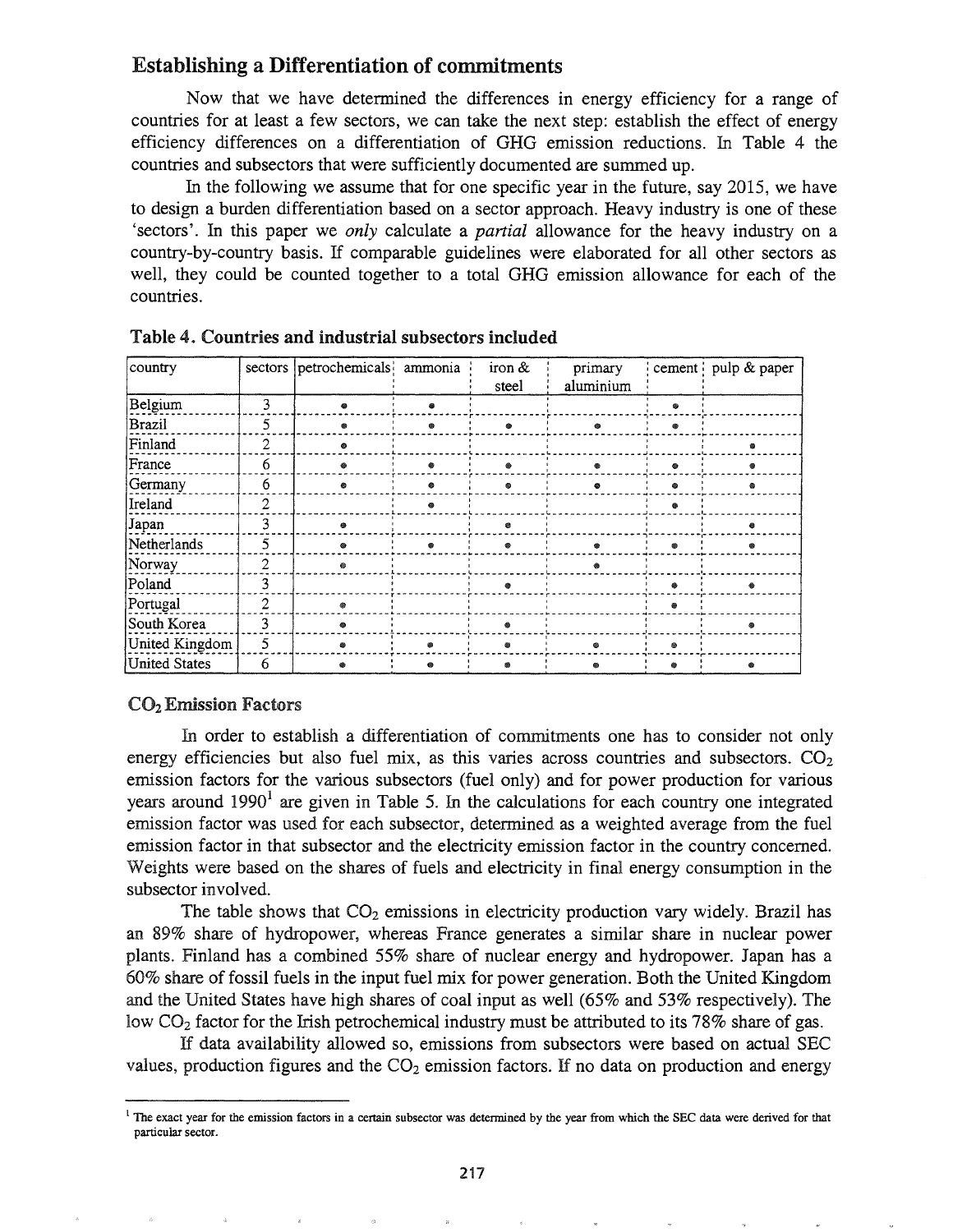# Establishing a Differentiation of commitments

Now that we have determined the differences in energy efficiency for a range of countries for at least a few sectors, we can take the next step: establish the effect of energy efficiency differences on a differentiation of OHG emission reductions. In Table 4 the countries and subsectors that were sufficiently documented are summed up.

In the following we assume that for one specific year in the future, say 2015, we have to design a burden differentiation based on a sector approach. Heavy industry is one of these 'sectors'. In this paper we *only* calculate a *partial* allowance for the heavy industry on a country-by-country basis. If comparable guidelines were elaborated for all other sectors as well, they could be counted together to a total GHG emission allowance for each of the countries.

| country        | sectors        | petrochemicals ammonia |   | iron $\&$<br>steel | primary<br>aluminium |   | cement   pulp & paper |
|----------------|----------------|------------------------|---|--------------------|----------------------|---|-----------------------|
| Belgium        | 3              |                        |   |                    |                      | ٠ |                       |
| Brazil         | 5              |                        |   |                    |                      |   |                       |
| Finland        | $\overline{2}$ | 63                     |   |                    |                      |   |                       |
| France         | 6              |                        | ۰ | ۵                  |                      | ۰ |                       |
| Germany        | 6              |                        | ٠ | 癜                  |                      |   |                       |
| Ireland        | $\overline{2}$ |                        |   |                    |                      |   |                       |
| Japan          | 3              |                        |   | ø                  |                      |   |                       |
| Netherlands    | 5              |                        |   |                    |                      | ۵ |                       |
| Norway         | $\overline{2}$ | ◎                      |   |                    |                      |   |                       |
| Poland         | 3              |                        |   | æ                  |                      |   |                       |
| Portugal       | 2              |                        |   |                    |                      |   |                       |
| South Korea    | 3              |                        |   |                    |                      |   |                       |
| United Kingdom | 5              |                        | ۵ | ۰                  |                      | ⊗ |                       |
| United States  | 6              |                        | ⋒ | s                  |                      | ۵ |                       |

Table 4. Countries and industrial subsectors included

## CO<sub>2</sub> Emission Factors

In order to establish a differentiation of commitments one has to consider not only energy efficiencies but also fuel mix, as this varies across countries and subsectors.  $CO<sub>2</sub>$ emission factors for the various subsectors (fuel only) and for power production for various years around 1990<sup>1</sup> are given in Table 5. In the calculations for each country one integrated emission factor was used for each subsector, determined as a weighted average from the fuel emission factor in that subsector and the electricity emission factor in the country concerned. Weights were based on the shares of fuels and electricity in final energy consumption in the subsector involved.

The table shows that  $CO<sub>2</sub>$  emissions in electricity production vary widely. Brazil has an 89% share of hydropower, whereas France generates a similar share in nuclear power plants. Finland has a combined 55% share of nuclear energy and hydropower. Japan has a 60% share of fossil fuels in the input fuel mix for power generation. Both the United Kingdom and the United States have high shares of coal input as well (65% and 53% respectively). The low  $CO<sub>2</sub>$  factor for the Irish petrochemical industry must be attributed to its 78% share of gas.

If data availability allowed so, emissions from subsectors were based on actual SEC values, production figures and the  $CO<sub>2</sub>$  emission factors. If no data on production and energy

<sup>&</sup>lt;sup>1</sup> The exact year for the emission factors in a certain subsector was determined by the year from which the SEC data were derived for that particular sector.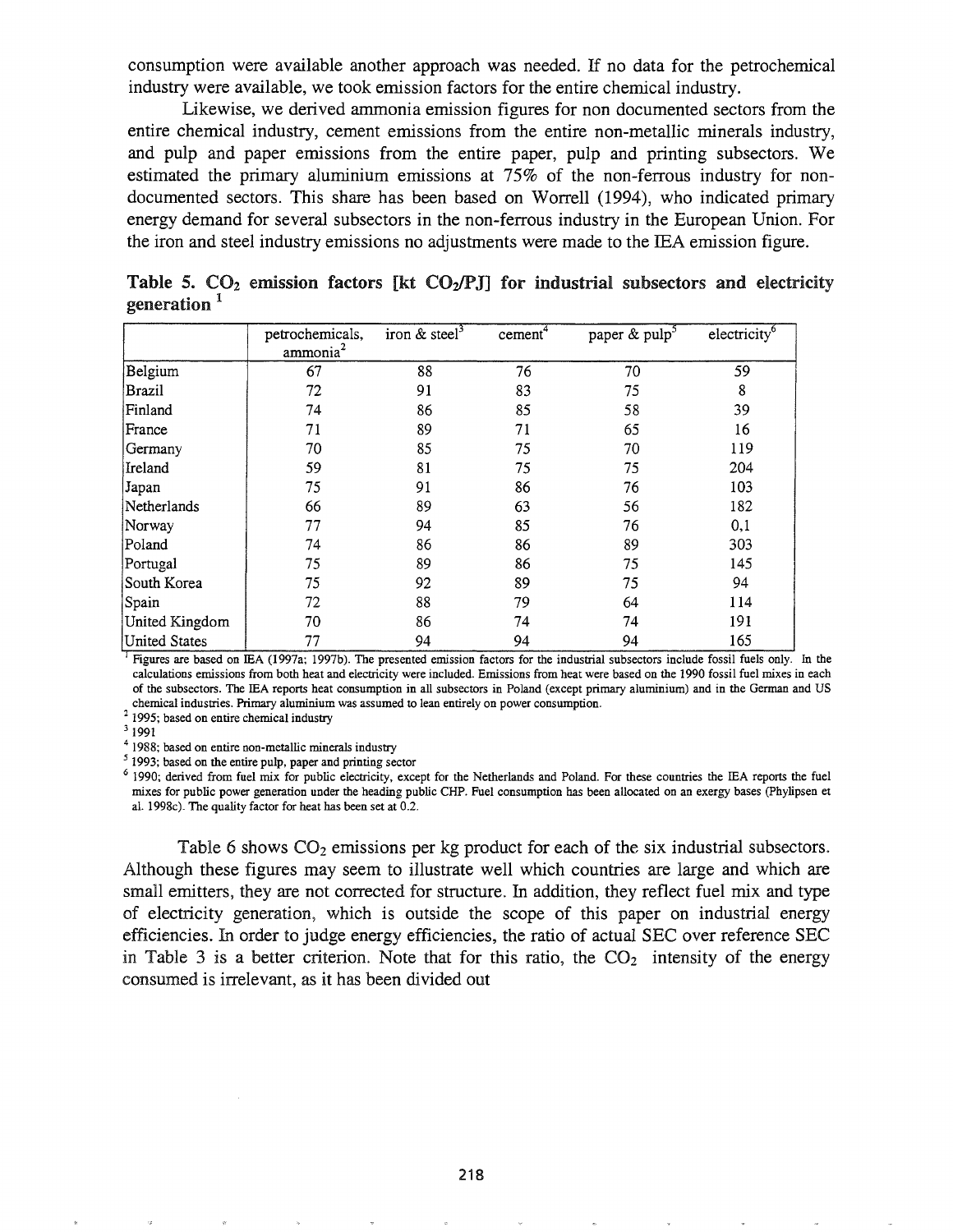consumption were available another approach was needed. If no data for the petrochemical industry were available, we took emission factors for the entire chemical industry.

Likewise, we derived ammonia emission figures for non documented sectors from the entire chemical industry, cement emissions from the entire non-metallic minerals industry, and pulp and paper emissions from the entire paper, pulp and printing subsectors. We estimated the primary aluminium emissions at 75% of the non-ferrous industry for nondocumented sectors. This share has been based on Worrell (1994), who indicated primary energy demand for several subsectors in the non-ferrous industry in the European Union. For the iron and steel industry emissions no adjustments were made to the lEA emission figure.

|                      | petrochemicals,<br>$\sum_{n=1}^{\infty}$ | iron & steel <sup>3</sup> | cement <sup>-</sup> | paper & pulp <sup>5</sup> | electricity <sup>6</sup> |
|----------------------|------------------------------------------|---------------------------|---------------------|---------------------------|--------------------------|
| Belgium              | 67                                       | 88                        | 76                  | 70                        | 59                       |
| Brazil               | 72                                       | 91                        | 83                  | 75                        | 8                        |
| Finland              | 74                                       | 86                        | 85                  | 58                        | 39                       |
| France               | 71                                       | 89                        | 71                  | 65                        | 16                       |
| Germany              | 70                                       | 85                        | 75                  | 70                        | 119                      |
| Ireland              | 59                                       | 81                        | 75                  | 75                        | 204                      |
| Japan                | 75                                       | 91                        | 86                  | 76                        | 103                      |
| Netherlands          | 66                                       | 89                        | 63                  | 56                        | 182                      |
| Norway               | 77                                       | 94                        | 85                  | 76                        | 0,1                      |
| Poland               | 74                                       | 86                        | 86                  | 89                        | 303                      |
| Portugal             | 75                                       | 89                        | 86                  | 75                        | 145                      |
| South Korea          | 75                                       | 92                        | 89                  | 75                        | 94                       |
| Spain                | 72                                       | 88                        | 79                  | 64                        | 114                      |
| United Kingdom       | 70                                       | 86                        | 74                  | 74                        | 191                      |
| <b>United States</b> | 77                                       | 94                        | 94                  | 94                        | 165                      |

Table 5.  $CO<sub>2</sub>$  emission factors [kt  $CO<sub>2</sub>/P$ J] for industrial subsectors and electricity generation<sup>1</sup>

calculations emissions from both heat and electricity were included. Emissions from heat were based on the 1990 fossil fuel mixes in each of the subsectors. The IEA reports heat consumption in all subsectors in Poland (except primary aluminium) and in the German and US chemical industries. Primary aluminium was assumed to lean entirely on power consumption.

2 1995; based on entire chemical industry

3 1991

<sup>4</sup> 1988; based on entire non-metallic minerals industry

5 1993; based on the entire pulp, paper and printing sector

<sup>6</sup> 1990; derived from fuel mix for public electricity, except for the Netherlands and Poland. For these countries the IEA reports the fuel mixes for public power generation under the heading public CHP. Fuel consumption has been allocated on an exergy bases (Phylipsen et al. 1998c). The quality factor for heat has been set at 0.2.

Table 6 shows  $CO<sub>2</sub>$  emissions per kg product for each of the six industrial subsectors. Although these figures may seem to illustrate well which countries are large and which are small emitters, they are not corrected for structure. In addition, they reflect fuel mix and type of electricity generation, which is outside the scope of this paper on industrial energy efficiencies. In order to judge energy efficiencies, the ratio of actual SEC over reference SEC in Table 3 is a better criterion. Note that for this ratio, the  $CO<sub>2</sub>$  intensity of the energy consumed is irrelevant, as it has been divided out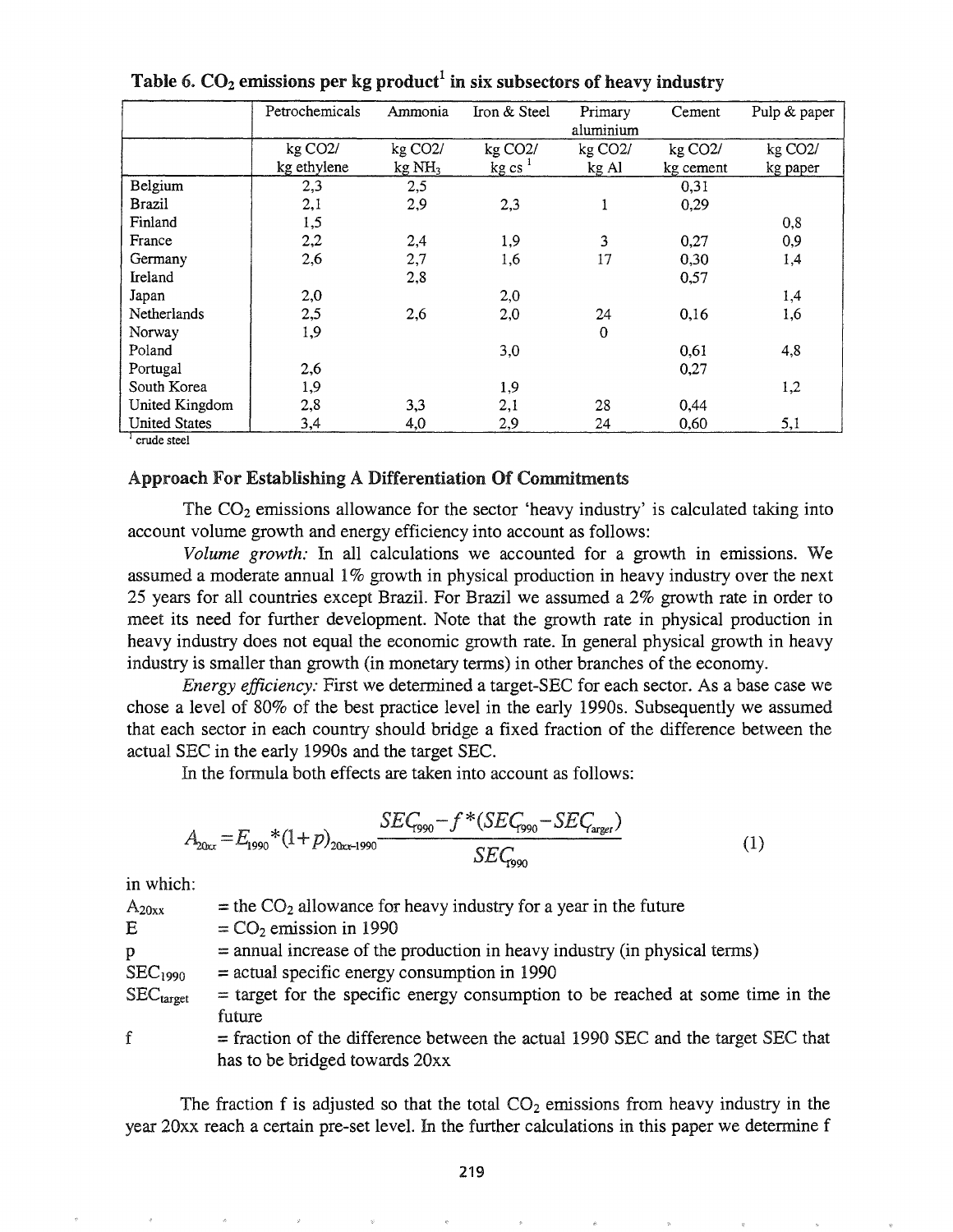|                      | Petrochemicals       | Ammonia              | Iron & Steel         | Primary<br>aluminium | Cement               | Pulp & paper         |
|----------------------|----------------------|----------------------|----------------------|----------------------|----------------------|----------------------|
|                      | kg CO <sub>2</sub> / | kg CO <sub>2</sub> / | kg CO <sub>2</sub> / | kg CO <sub>2</sub> / | kg CO <sub>2</sub> / | kg CO <sub>2</sub> / |
|                      | kg ethylene          | $kg \mathrm{NH}_3$   | $kg \text{cs}^{-1}$  | kg Al                | kg cement            | kg paper             |
| Belgium              | 2,3                  | 2,5                  |                      |                      | 0,31                 |                      |
| Brazil               | 2,1                  | 2,9                  | 2,3                  | 1                    | 0,29                 |                      |
| Finland              | 1,5                  |                      |                      |                      |                      | 0,8                  |
| France               | 2,2                  | 2,4                  | 1,9                  | 3                    | 0,27                 | 0,9                  |
| Germany              | 2,6                  | 2,7                  | 1,6                  | 17                   | 0,30                 | 1,4                  |
| Ireland              |                      | 2,8                  |                      |                      | 0,57                 |                      |
| Japan                | 2,0                  |                      | 2,0                  |                      |                      | 1,4                  |
| Netherlands          | 2,5                  | 2,6                  | 2,0                  | 24                   | 0,16                 | 1,6                  |
| Norway               | 1,9                  |                      |                      | $\Omega$             |                      |                      |
| Poland               |                      |                      | 3,0                  |                      | 0,61                 | 4,8                  |
| Portugal             | 2,6                  |                      |                      |                      | 0,27                 |                      |
| South Korea          | 1,9                  |                      | 1,9                  |                      |                      | 1,2                  |
| United Kingdom       | 2,8                  | 3,3                  | 2,1                  | 28                   | 0,44                 |                      |
| <b>United States</b> | 3,4                  | 4,0                  | 2,9                  | 24                   | 0,60                 | 5,1                  |

Table 6.  $CO<sub>2</sub>$  emissions per kg product<sup>1</sup> in six subsectors of heavy industry

<sup>1</sup> crude steel

### Approach For Establishing A Differentiation Of Commitments

The  $CO<sub>2</sub>$  emissions allowance for the sector 'heavy industry' is calculated taking into account volume growth and energy efficiency into account as follows:

*Volume growth:* In all calculations we accounted for a growth in emissions. We assumed a moderate annual 1% growth in physical production in heavy industry over the next 25 years for all countries except Brazil. For Brazil we assumed a 2% growth rate in order to meet its need for further development. Note that the growth rate in physical production in heavy industry does not equal the economic growth rate. In general physical growth in heavy industry is smaller than growth (in monetary terms) in other branches of the economy.

*Energy efficiency*: First we determined a target-SEC for each sector. As a base case we chose a level of 80% of the best practice level in the early 1990s. Subsequently we assumed that each sector in each country should bridge a fixed fraction of the difference between the actual SEC in the early 1990s and the target SEC.

In the formula both effects are taken into account as follows:

$$
A_{20xx} = E_{1990} * (1 + p)_{20xx - 1990} \frac{SEC_{1990} - f * (SEC_{1990} - SEC_{\text{target}})}{SEC_{1990}}
$$
(1)

in which:

 $=$  the CO<sub>2</sub> allowance for heavy industry for a year in the future  $=$  CO<sub>2</sub> emission in 1990 =annual increase of the production in heavy industry (in physical terms) =actual specific energy consumption in <sup>1990</sup> =target for the specific energy consumption to be reached at some time in the future =fraction of the difference between the actual <sup>1990</sup> SEC and the target SEC that has to be bridged towards 20xx f  $A_{20xx}$ E P  $SEC<sub>1990</sub>$  $\rm{SEC_{target}}$ 

The fraction f is adjusted so that the total  $CO<sub>2</sub>$  emissions from heavy industry in the year 20xx reach a certain pre-set level. In the further calculations in this paper we determine f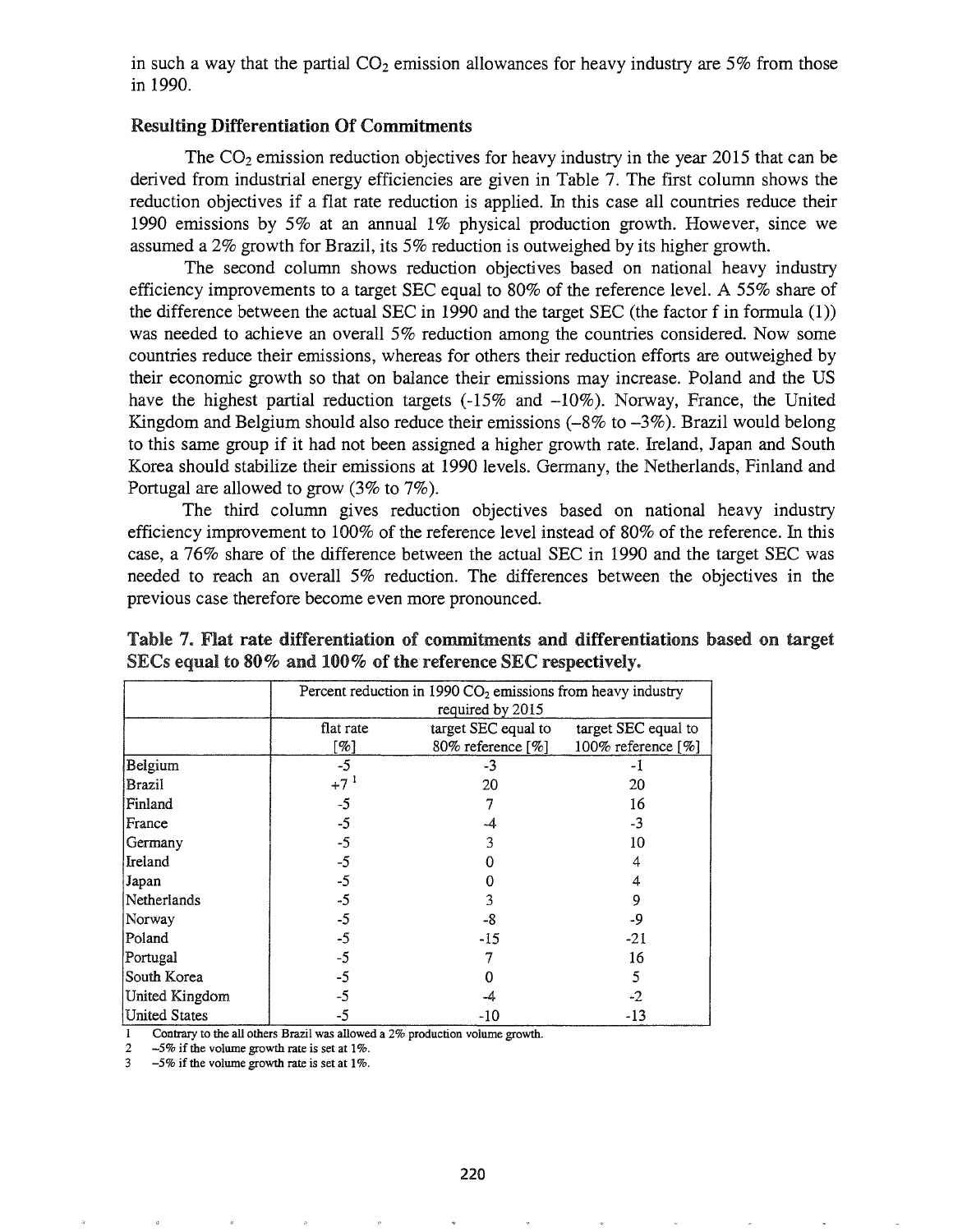in such a way that the partial  $CO<sub>2</sub>$  emission allowances for heavy industry are 5% from those in 1990.

## Resulting Differentiation Of Commitments

The  $CO<sub>2</sub>$  emission reduction objectives for heavy industry in the year 2015 that can be derived from industrial energy efficiencies are given in Table 7. The first column shows the reduction objectives if a flat rate reduction is applied. In this case all countries reduce their 1990 emissions by 5% at an annual 1% physical production growth. However, since we assumed a 2% growth for Brazil, its 5% reduction is outweighed by its higher growth.

The second column shows reduction objectives based on national heavy industry efficiency improvements to a target SEC equal to 80% of the reference level. A 55% share of the difference between the actual SEC in 1990 and the target SEC (the factor f in formula  $(1)$ ) was needed to achieve an overall 5% reduction among the countries considered. Now some countries reduce their emissions, whereas for others their reduction efforts are outweighed by their economic growth so that on balance their emissions may increase. Poland and the US have the highest partial reduction targets  $(-15\%$  and  $-10\%)$ . Norway, France, the United Kingdom and Belgium should also reduce their emissions  $(-8\%$  to  $-3\%)$ . Brazil would belong to this same group if it had not been assigned a higher growth rate. Ireland, Japan and South Korea should stabilize their emissions at 1990 levels. Germany, the Netherlands, Finland and Portugal are allowed to grow (3% to 7%).

The third column gives reduction objectives based on national heavy industry efficiency improvement to 100% of the reference level instead of 80% of the reference. In this case, a 76% share of the difference between the actual SEC in 1990 and the target SEC was needed to reach an overall 5% reduction. The differences between the objectives in the previous case therefore become even more pronounced.

|                      | Percent reduction in 1990 $CO2$ emissions from heavy industry<br>required by 2015 |                     |                     |  |  |  |  |  |
|----------------------|-----------------------------------------------------------------------------------|---------------------|---------------------|--|--|--|--|--|
|                      | flat rate                                                                         | target SEC equal to | target SEC equal to |  |  |  |  |  |
|                      | [%]                                                                               | 80% reference [%]   | 100% reference [%]  |  |  |  |  |  |
| Belgium              | $-5$                                                                              | -3                  |                     |  |  |  |  |  |
| Brazil               | $+7^{1}$                                                                          | 20                  | 20                  |  |  |  |  |  |
| Finland              | $-5$                                                                              |                     | 16                  |  |  |  |  |  |
| France               | $-5$                                                                              | -4                  | $-3$                |  |  |  |  |  |
| Germany              | $-5$                                                                              | 3                   | 10                  |  |  |  |  |  |
| Ireland              | $-5$                                                                              |                     | 4                   |  |  |  |  |  |
| Japan                | $-5$                                                                              |                     |                     |  |  |  |  |  |
| Netherlands          | $-5$                                                                              | 3                   | 9                   |  |  |  |  |  |
| Norway               | $-5$                                                                              | -8                  | -9                  |  |  |  |  |  |
| Poland               | -5                                                                                | $-15$               | $-21$               |  |  |  |  |  |
| Portugal             | -5                                                                                |                     | 16                  |  |  |  |  |  |
| South Korea          | -5                                                                                | n                   | 5                   |  |  |  |  |  |
| United Kingdom       | $-5$                                                                              | -4                  | -2                  |  |  |  |  |  |
| <b>United States</b> | $-5$                                                                              | -10                 | $-13$               |  |  |  |  |  |

Table 7. Flat rate differentiation of commitments and differentiations based on target SECs equal to  $80\%$  and  $100\%$  of the reference SEC respectively.

Contrary to the all others Brazil was allowed a 2% production volume growth.

2 -5% if the volume growth rate is set at 1%.<br>3 -5% if the volume growth rate is set at 1%.

 $-5\%$  if the volume growth rate is set at 1%.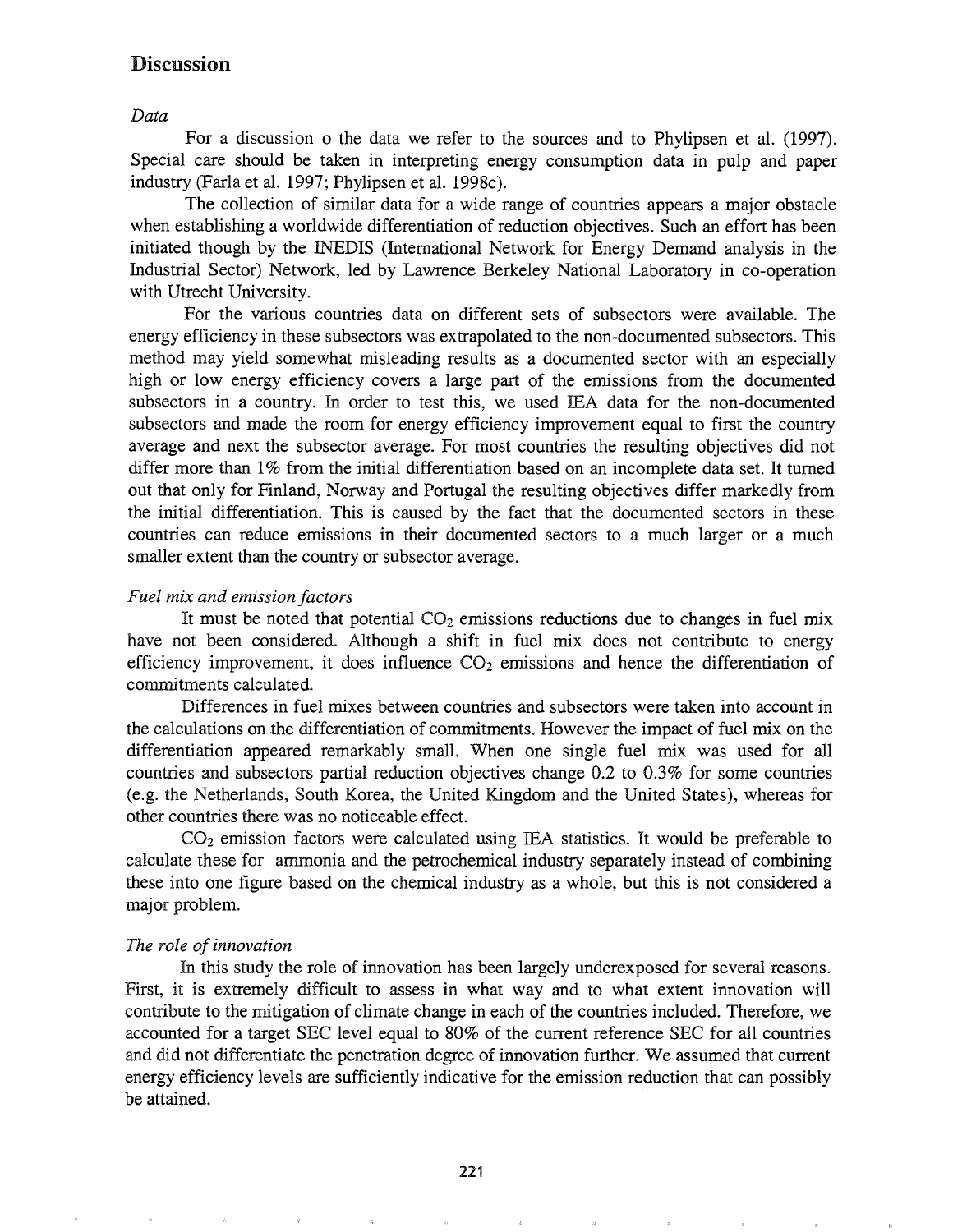# **Discussion**

*Data*

For a discussion 0 the data we refer to the sources and to Phylipsen et al. (1997). Special care should be taken in interpreting energy consumption data in pulp and paper industry (FarIa et al. 1997; Phylipsen et al. 1998c).

The collection of similar data for a wide range of countries appears a major obstacle when establishing a worldwide differentiation of reduction objectives. Such an effort has been initiated though by the INEDIS (International Network for Energy Demand analysis in the Industrial Sector) Network, led by Lawrence Berkeley National Laboratory in co-operation with Utrecht University.

For the various countries data on different sets of subsectors were available. The energy efficiency in these subsectors was extrapolated to the non-documented subsectors. This method may yield somewhat misleading results as a documented sector with an especially high or low energy efficiency covers a large part of the emissions from the documented subsectors in a country. In order to test this, we used lEA data for the non-documented subsectors and made the room for energy efficiency improvement equal to first the country average and next the subsector average. For most countries the resulting objectives did not differ more than 1% from the initial differentiation based on an incomplete data set. It turned out that only for Finland, Norway and Portugal the resulting objectives differ markedly from the initial differentiation. This is caused by the fact that the documented sectors in these countries can reduce emissions in their documented sectors to a much larger or a much smaller extent than the country or subsector average.

#### *Fuel mix and emission factors*

It must be noted that potential  $CO<sub>2</sub>$  emissions reductions due to changes in fuel mix have not been considered. Although a shift in fuel mix does not contribute to energy efficiency improvement, it does influence  $CO<sub>2</sub>$  emissions and hence the differentiation of commitments calculated..

Differences in fuel mixes between countries and subsectors were taken into account in the calculations on the differentiation of commitments. However the impact of fuel mix on the differentiation appeared remarkably small. When one single fuel mix was used for all countries and subsectors partial reduction objectives change 0.2 to 0.3% for some countries (e.g. the Netherlands, South Korea, the United Kingdom and the United States), whereas for other countries there was no noticeable effect.

 $CO<sub>2</sub>$  emission factors were calculated using IEA statistics. It would be preferable to calculate these for ammonia and the petrochemical industry separately instead of combining these into one figure based on the chemical industry as a whole, but this is not considered a major problem.

#### *The role ofinnovation*

In this study the role of innovation has been largely underexposed for several reasons. First, it is extremely difficult to assess in what way and to what extent innovation will contribute to the mitigation of climate change in each of the countries included. Therefore, we accounted for a target SEC level equal to 80% of the current reference SEC for all countries and did not differentiate the penetration degree of innovation further. We assumed that current energy efficiency levels are sufficiently indicative for the emission reduction that can possibly be attained.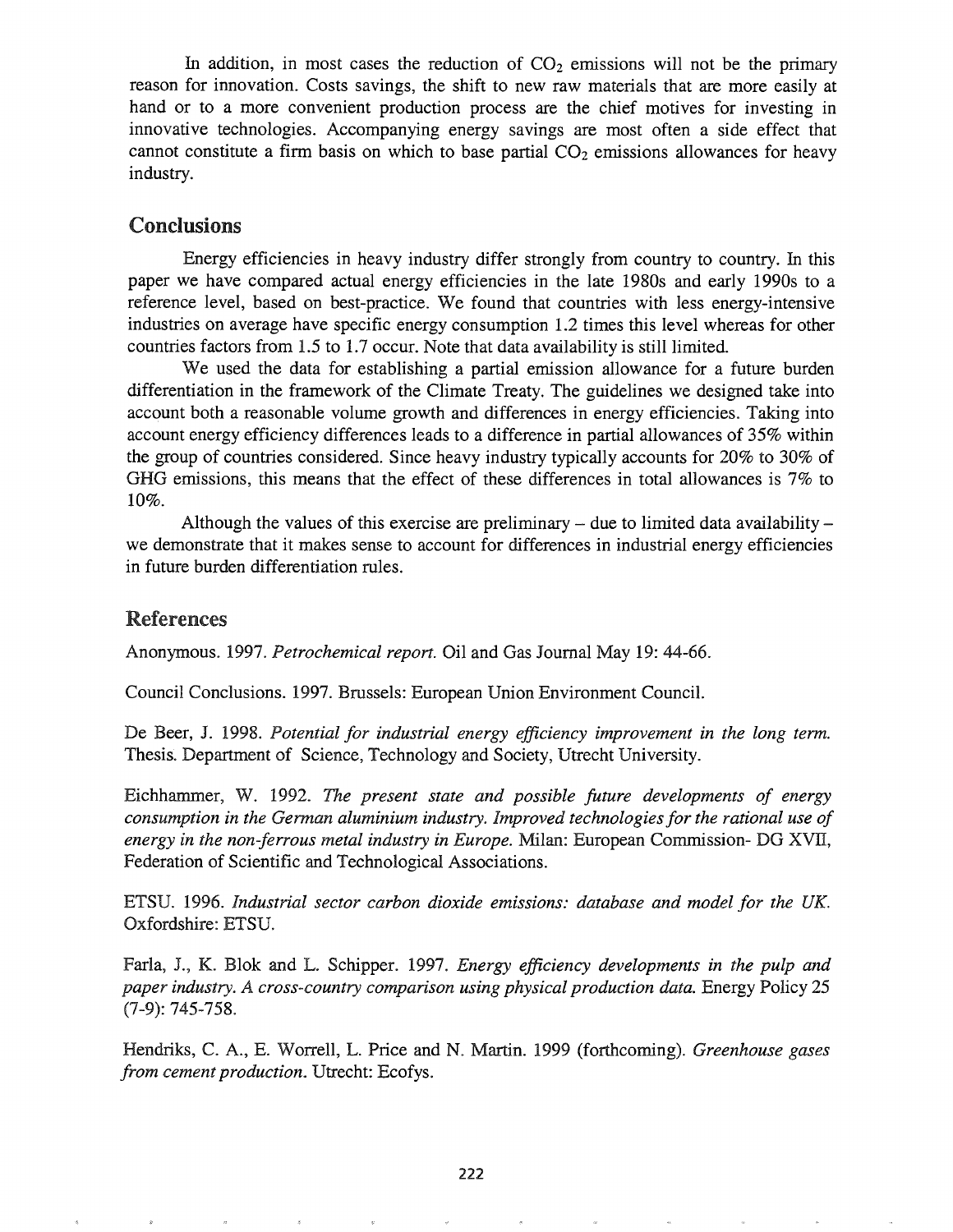In addition, in most cases the reduction of  $CO<sub>2</sub>$  emissions will not be the primary reason for innovation. Costs savings, the shift to new raw materials that are more easily at hand or to a more convenient production process are the chief motives for investing in innovative technologies. Accompanying energy savings are most often a side effect that cannot constitute a firm basis on which to base partial  $CO<sub>2</sub>$  emissions allowances for heavy industry.

# Conclusions

Energy efficiencies in heavy industry differ strongly from country to country. In this paper we have compared actual energy efficiencies in the late 1980s and early 1990s to a reference level, based on best-practice. We found that countries with less energy-intensive industries on average have specific energy consumption 1.2 times this level whereas for other countries factors from 1.5 to 1.7 occur. Note that data availability is still limited.

We used the data for establishing a partial emission allowance for a future burden differentiation in the framework of the Climate Treaty. The guidelines we designed take into account both a reasonable volume growth and differences in energy efficiencies. Taking into account energy efficiency differences leads to a difference in partial allowances of 35% within the group of countries considered. Since heavy industry typically accounts for 20% to 30% of GHG emissions, this means that the effect of these differences in total allowances is 7% to 10%.

Although the values of this exercise are preliminary  $-$  due to limited data availability  $$ we demonstrate that it makes sense to account for differences in industrial energy efficiencies in future burden differentiation rules.

### **References**

Anonymous. 1997. *Petrochemical report.* Oil and Gas Journal May 19: 44-66.

Council Conclusions. 1997. Brussels: European Union Environment Council.

De Beer, J. 1998. *Potential for industrial energy efficiency improvement in the long term.* Thesis. Department of Science, Technology and Society, Utrecht University.

Eichhammer, W. 1992. *The present state and possible future developments of energy consumption in the German aluminium industry" Improved technologiesfor the rational use of energy in the non-ferrous metal industry in Europe.* Milan: European Commission- DO XVII, Federation of Scientific and Technological Associations.

ETSU. 1996. Industrial sector carbon dioxide emissions: database and model for the UK. Oxfordshire: ETSU.

Farla, J., K. Blok and L. Schipper. 1997. *Energy efficiency developments in the pulp and paper industrye A cross-country comparison using physical production data.* Energy Policy 25  $(7-9)$ : 745-758.

Hendriks, C. A., E. Worrell, L. Price and N. Martin. 1999 (forthcoming). *Greenhouse gases from cement production.* Utrecht: Ecofys.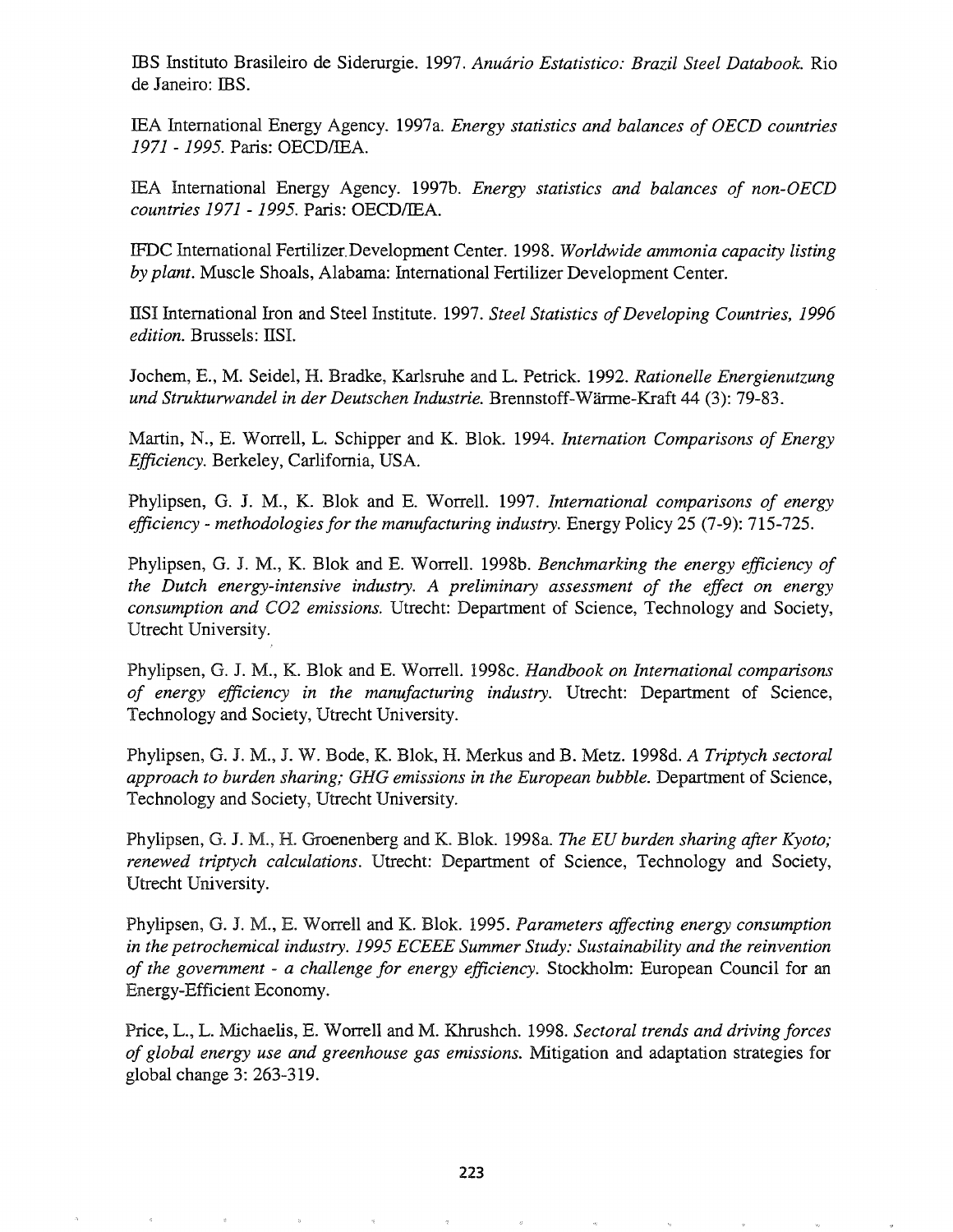IBS Instituto Brasileiro de Siderurgie. 1997. *Anuario Estatistico: Brazil Steel Databook.* Rio de Janeiro: IBS.

IEA International Energy Agency. 1997a. *Energy statistics and balances of OEeD countries* 1971 - 1995. Paris: OECDIIEA.

IEA International Energy Agency. 1997b. *Energy statistics and balances of non-OECD countries* 1971 - 1995. Paris: OECDIIEA.

IFDC International Fertilizer.Development Center. 1998. *Worldwide ammonia capacity listing by plant.* Muscle Shoals, Alabama: International Fertilizer Development Center.

ITSI International Iron and Steel Institute. 1997. *Steel Statistics of Developing Countries, 1996 edition.* Brussels: IISI.

Jochem, E., M. Seidel, H. Bradke, Karlsruhe and L. Petrick. 1992. *Rationelle Energienutzung und Strukturwandel in der Deutschen Industrie.* Brennstoff-Warme-Kraft 44 (3): 79-83.

Martin, N., E. Worrell, L. Schipper and K. Blok. 1994. *lntemation Comparisons of Energy Efficiency.* Berkeley, Carlifornia, USA.

Phylipsen, G. J. M., K. Blok and E. Worrell. 1997. *International comparisons of energy efficiency* - *methodologiesfor the manufacturing industry.* Energy Policy 25 (7-9): 715-725.

Phylipsen, G. J. M., K. Blok and E. Worrell. 1998b. *Benchmarking the energy efficiency of the Dutch energy-intensive industry. A preliminary assessment of the effect on energy consumption and C02 emissions.* Utrecht: Department of Science, Technology and Society, Utrecht University.

Phylipsen, G. J. M., K. Blok and E. Worrell. 1998c. *Handbook on International comparisons of energy efficiency in the manufacturing industry.* Utrecht: Department of Science, Technology and Society, Utrecht University.

Phylipsen, G. Je M., J. W. Bode, K. Blok, H. Merkus and B. Metz. 1998d. *A Triptych sectoral approach to burden sharing; GHG emissions in the European bubble.* Department of Science, Technology and Society, Utrecht University.

Phylipsen, G. J. M., H. Groenenberg and K. Blok. 1998a. *The EU burden sharing after Kyoto*; *renewed triptych calculations.* Utrecht: Department of Science, Technology and Society, Utrecht University.

Phylipsen, G. J. M., E. Worrell and K. Blok. 1995. *Parameters affecting energy consumption in the petrochemical industry.* 1995 *ECEEE Summer Study: Sustainability and the reinvention of the government - a challenge for energy efficiency. Stockholm: European Council for an* Energy-Efficient Economy.

Price, L. Michaelis, E. Worrell and M. Khrushch. 1998. *Sectoral trends and driving forces of global energy use and greenhouse gas emissions.* Mitigation and adaptation strategies for global change 3: 263-319.